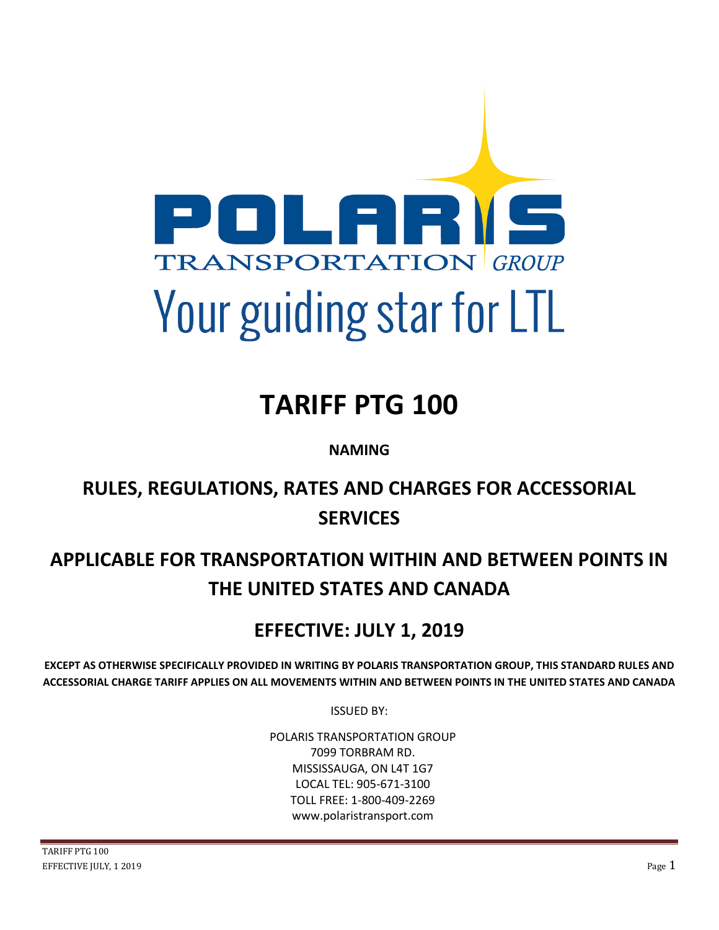

# **TARIFF PTG 100**

**NAMING**

# **RULES, REGULATIONS, RATES AND CHARGES FOR ACCESSORIAL SERVICES**

# **APPLICABLE FOR TRANSPORTATION WITHIN AND BETWEEN POINTS IN THE UNITED STATES AND CANADA**

# **EFFECTIVE: JULY 1, 2019**

**EXCEPT AS OTHERWISE SPECIFICALLY PROVIDED IN WRITING BY POLARIS TRANSPORTATION GROUP, THIS STANDARD RULES AND ACCESSORIAL CHARGE TARIFF APPLIES ON ALL MOVEMENTS WITHIN AND BETWEEN POINTS IN THE UNITED STATES AND CANADA**

ISSUED BY:

POLARIS TRANSPORTATION GROUP 7099 TORBRAM RD. MISSISSAUGA, ON L4T 1G7 LOCAL TEL: 905-671-3100 TOLL FREE: 1-800-409-2269 www.polaristransport.com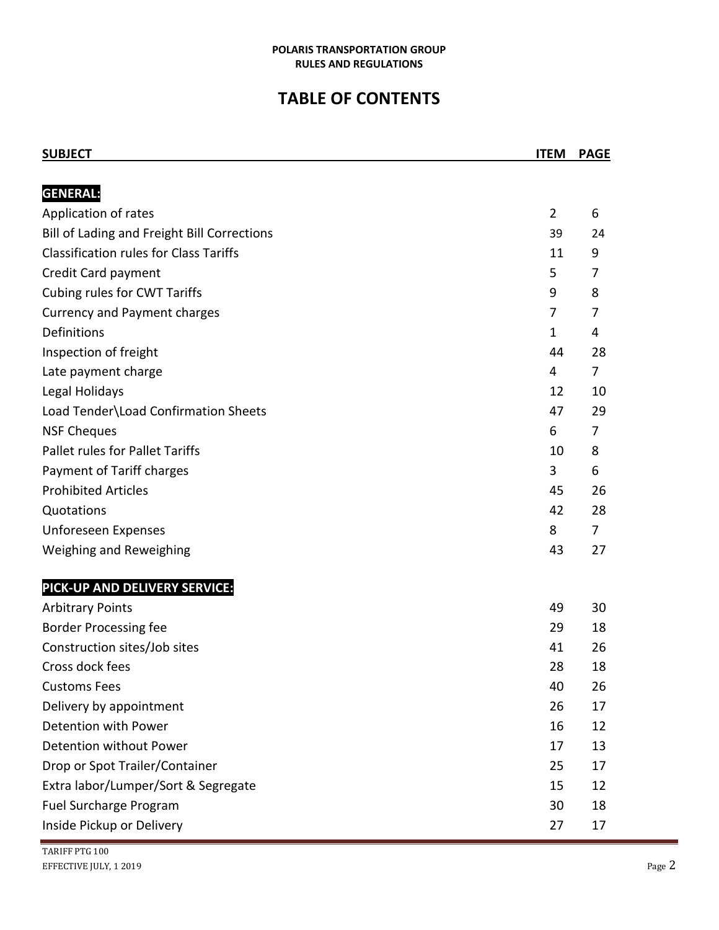# **TABLE OF CONTENTS**

| <b>SUBJECT</b>                                | <b>ITEM</b>    | <b>PAGE</b>    |
|-----------------------------------------------|----------------|----------------|
|                                               |                |                |
| <b>GENERAL:</b>                               |                |                |
| Application of rates                          | $\overline{2}$ | 6              |
| Bill of Lading and Freight Bill Corrections   | 39             | 24             |
| <b>Classification rules for Class Tariffs</b> | 11             | 9              |
| Credit Card payment                           | 5              | 7              |
| Cubing rules for CWT Tariffs                  | 9              | 8              |
| <b>Currency and Payment charges</b>           | 7              | 7              |
| Definitions                                   | $\mathbf 1$    | 4              |
| Inspection of freight                         | 44             | 28             |
| Late payment charge                           | 4              | 7              |
| Legal Holidays                                | 12             | 10             |
| Load Tender\Load Confirmation Sheets          | 47             | 29             |
| <b>NSF Cheques</b>                            | 6              | 7              |
| <b>Pallet rules for Pallet Tariffs</b>        | 10             | 8              |
| Payment of Tariff charges                     | 3              | 6              |
| <b>Prohibited Articles</b>                    | 45             | 26             |
| Quotations                                    | 42             | 28             |
| Unforeseen Expenses                           | 8              | $\overline{7}$ |
| Weighing and Reweighing                       | 43             | 27             |
| PICK-UP AND DELIVERY SERVICE:                 |                |                |
| <b>Arbitrary Points</b>                       | 49             | 30             |
| <b>Border Processing fee</b>                  | 29             | 18             |
| Construction sites/Job sites                  | 41             | 26             |
| Cross dock fees                               | 28             | 18             |
| <b>Customs Fees</b>                           | 40             | 26             |
| Delivery by appointment                       | 26             | 17             |
| Detention with Power                          | 16             | 12             |
| Detention without Power                       | 17             | 13             |
| Drop or Spot Trailer/Container                | 25             | 17             |
| Extra labor/Lumper/Sort & Segregate           | 15             | 12             |
| Fuel Surcharge Program                        | 30             | 18             |
| Inside Pickup or Delivery                     | 27             | 17             |

÷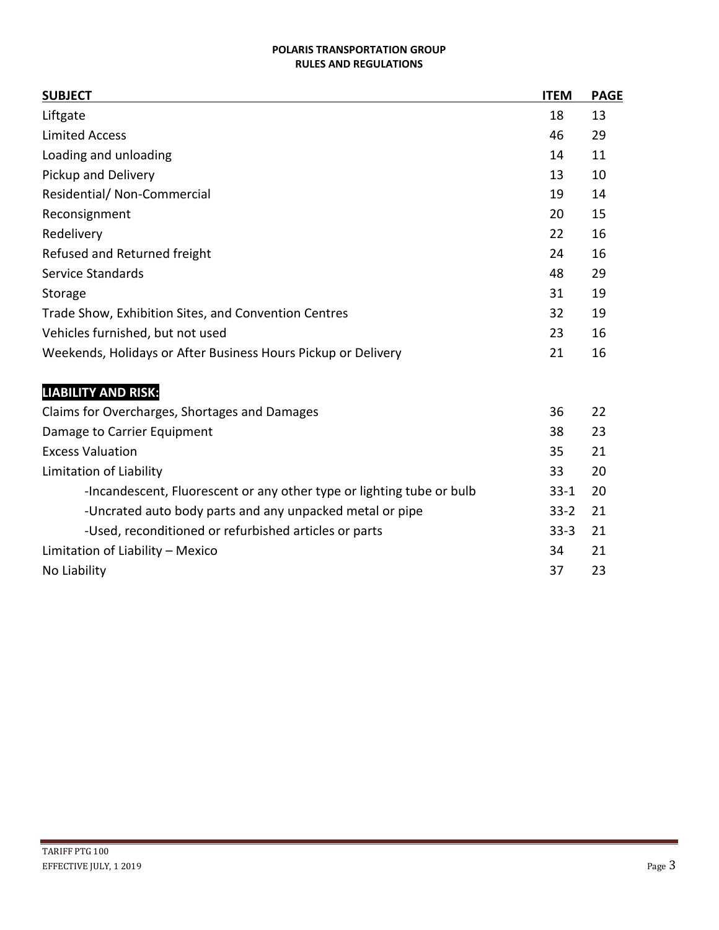| <b>SUBJECT</b>                                                | <b>ITEM</b> | <b>PAGE</b> |
|---------------------------------------------------------------|-------------|-------------|
| Liftgate                                                      | 18          | 13          |
| <b>Limited Access</b>                                         | 46          | 29          |
| Loading and unloading                                         | 14          | 11          |
| Pickup and Delivery                                           | 13          | 10          |
| Residential/ Non-Commercial                                   | 19          | 14          |
| Reconsignment                                                 | 20          | 15          |
| Redelivery                                                    | 22          | 16          |
| Refused and Returned freight                                  | 24          | 16          |
| Service Standards                                             | 48          | 29          |
| Storage                                                       | 31          | 19          |
| Trade Show, Exhibition Sites, and Convention Centres          | 32          | 19          |
| Vehicles furnished, but not used                              | 23          | 16          |
| Weekends, Holidays or After Business Hours Pickup or Delivery | 21          | 16          |
|                                                               |             |             |

# **LIABILITY AND RISK:**

| Claims for Overcharges, Shortages and Damages                         | 36       | 22 |
|-----------------------------------------------------------------------|----------|----|
| Damage to Carrier Equipment                                           | 38       | 23 |
| <b>Excess Valuation</b>                                               | 35       | 21 |
| Limitation of Liability                                               | 33       | 20 |
| -Incandescent, Fluorescent or any other type or lighting tube or bulb | $33-1$   | 20 |
| -Uncrated auto body parts and any unpacked metal or pipe              | $33 - 2$ | 21 |
| -Used, reconditioned or refurbished articles or parts                 | $33-3$   | 21 |
| Limitation of Liability - Mexico                                      | 34       | 21 |
| No Liability                                                          | 37       | 23 |

and in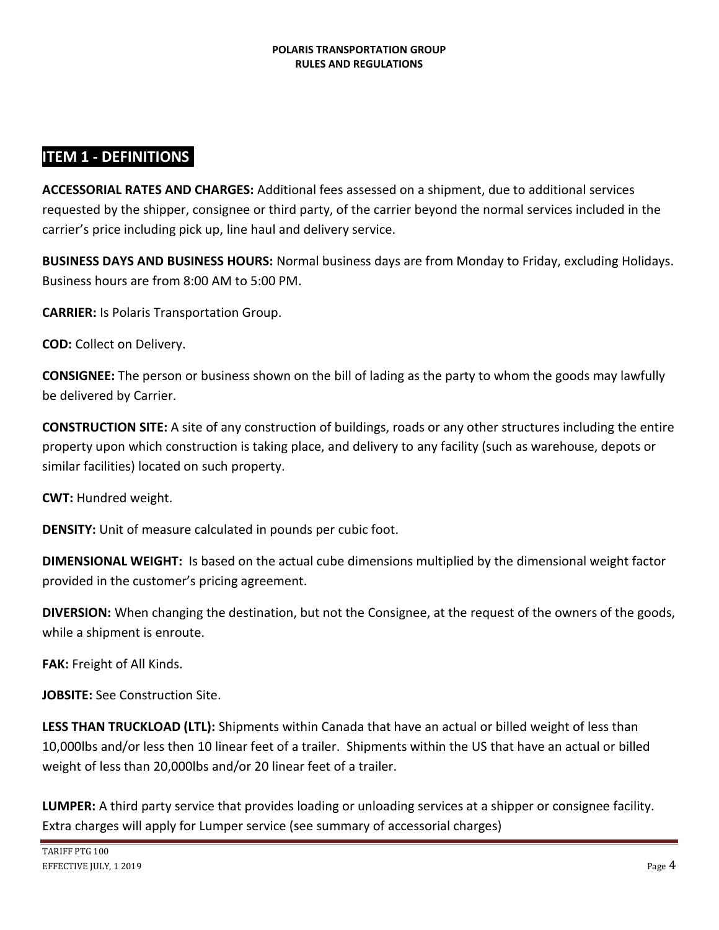### **ITEM 1 - DEFINITIONS:**

**ACCESSORIAL RATES AND CHARGES:** Additional fees assessed on a shipment, due to additional services requested by the shipper, consignee or third party, of the carrier beyond the normal services included in the carrier's price including pick up, line haul and delivery service.

**BUSINESS DAYS AND BUSINESS HOURS:** Normal business days are from Monday to Friday, excluding Holidays. Business hours are from 8:00 AM to 5:00 PM.

**CARRIER:** Is Polaris Transportation Group.

**COD:** Collect on Delivery.

**CONSIGNEE:** The person or business shown on the bill of lading as the party to whom the goods may lawfully be delivered by Carrier.

**CONSTRUCTION SITE:** A site of any construction of buildings, roads or any other structures including the entire property upon which construction is taking place, and delivery to any facility (such as warehouse, depots or similar facilities) located on such property.

**CWT:** Hundred weight.

**DENSITY:** Unit of measure calculated in pounds per cubic foot.

**DIMENSIONAL WEIGHT:** Is based on the actual cube dimensions multiplied by the dimensional weight factor provided in the customer's pricing agreement.

**DIVERSION:** When changing the destination, but not the Consignee, at the request of the owners of the goods, while a shipment is enroute.

**FAK:** Freight of All Kinds.

**JOBSITE:** See Construction Site.

**LESS THAN TRUCKLOAD (LTL):** Shipments within Canada that have an actual or billed weight of less than 10,000lbs and/or less then 10 linear feet of a trailer. Shipments within the US that have an actual or billed weight of less than 20,000lbs and/or 20 linear feet of a trailer.

**LUMPER:** A third party service that provides loading or unloading services at a shipper or consignee facility. Extra charges will apply for Lumper service (see summary of accessorial charges)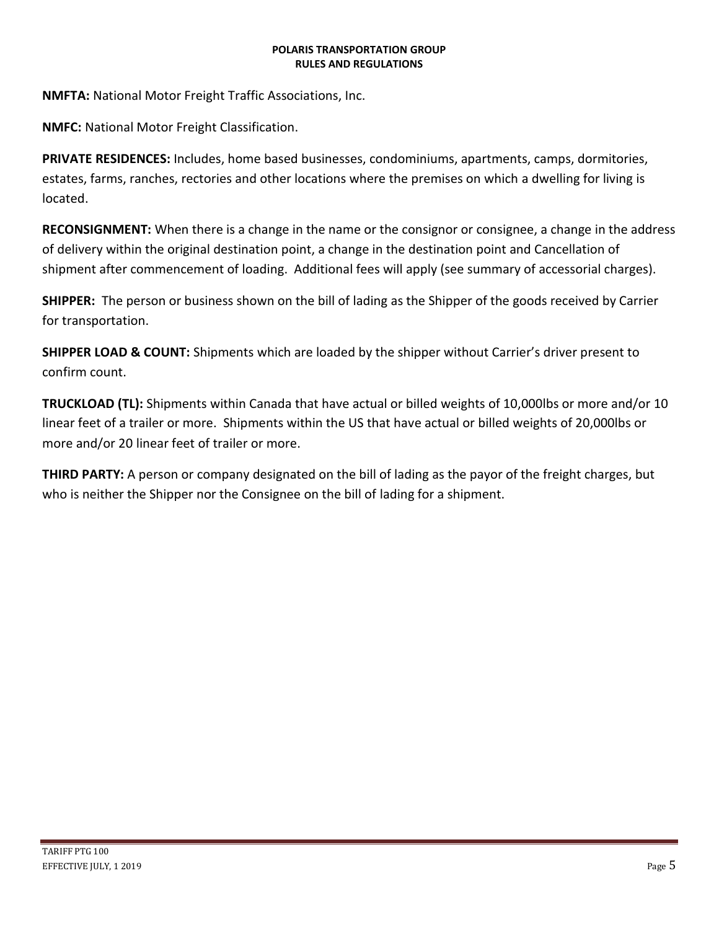**NMFTA:** National Motor Freight Traffic Associations, Inc.

**NMFC:** National Motor Freight Classification.

**PRIVATE RESIDENCES:** Includes, home based businesses, condominiums, apartments, camps, dormitories, estates, farms, ranches, rectories and other locations where the premises on which a dwelling for living is located.

**RECONSIGNMENT:** When there is a change in the name or the consignor or consignee, a change in the address of delivery within the original destination point, a change in the destination point and Cancellation of shipment after commencement of loading. Additional fees will apply (see summary of accessorial charges).

**SHIPPER:** The person or business shown on the bill of lading as the Shipper of the goods received by Carrier for transportation.

**SHIPPER LOAD & COUNT:** Shipments which are loaded by the shipper without Carrier's driver present to confirm count.

**TRUCKLOAD (TL):** Shipments within Canada that have actual or billed weights of 10,000lbs or more and/or 10 linear feet of a trailer or more. Shipments within the US that have actual or billed weights of 20,000lbs or more and/or 20 linear feet of trailer or more.

**THIRD PARTY:** A person or company designated on the bill of lading as the payor of the freight charges, but who is neither the Shipper nor the Consignee on the bill of lading for a shipment.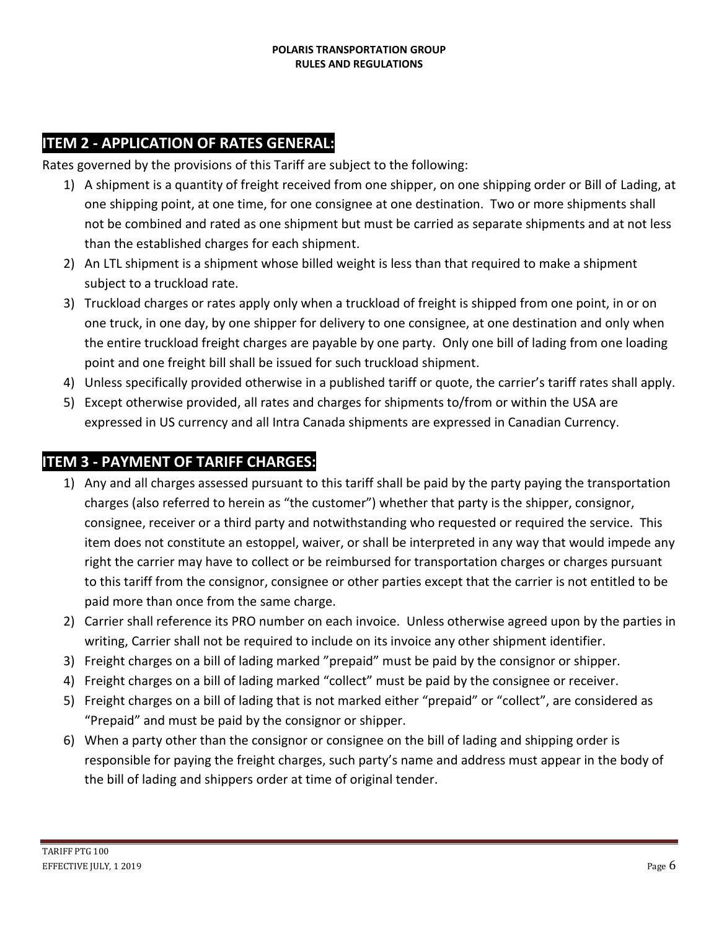# **ITEM 2 - APPLICATION OF RATES GENERAL:**

Rates governed by the provisions of this Tariff are subject to the following:

- 1) A shipment is a quantity of freight received from one shipper, on one shipping order or Bill of Lading, at one shipping point, at one time, for one consignee at one destination. Two or more shipments shall not be combined and rated as one shipment but must be carried as separate shipments and at not less than the established charges for each shipment.
- 2) An LTL shipment is a shipment whose billed weight is less than that required to make a shipment subject to a truckload rate.
- 3) Truckload charges or rates apply only when a truckload of freight is shipped from one point, in or on one truck, in one day, by one shipper for delivery to one consignee, at one destination and only when the entire truckload freight charges are payable by one party. Only one bill of lading from one loading point and one freight bill shall be issued for such truckload shipment.
- 4) Unless specifically provided otherwise in a published tariff or quote, the carrier's tariff rates shall apply.
- 5) Except otherwise provided, all rates and charges for shipments to/from or within the USA are expressed in US currency and all Intra Canada shipments are expressed in Canadian Currency.

#### **ITEM 3 - PAYMENT OF TARIFF CHARGES:**

- 1) Any and all charges assessed pursuant to this tariff shall be paid by the party paying the transportation charges (also referred to herein as "the customer") whether that party is the shipper, consignor, consignee, receiver or a third party and notwithstanding who requested or required the service. This item does not constitute an estoppel, waiver, or shall be interpreted in any way that would impede any right the carrier may have to collect or be reimbursed for transportation charges or charges pursuant to this tariff from the consignor, consignee or other parties except that the carrier is not entitled to be paid more than once from the same charge.
- 2) Carrier shall reference its PRO number on each invoice. Unless otherwise agreed upon by the parties in writing, Carrier shall not be required to include on its invoice any other shipment identifier.
- 3) Freight charges on a bill of lading marked "prepaid" must be paid by the consignor or shipper.
- 4) Freight charges on a bill of lading marked "collect" must be paid by the consignee or receiver.
- 5) Freight charges on a bill of lading that is not marked either "prepaid" or "collect", are considered as "Prepaid" and must be paid by the consignor or shipper.
- 6) When a party other than the consignor or consignee on the bill of lading and shipping order is responsible for paying the freight charges, such party's name and address must appear in the body of the bill of lading and shippers order at time of original tender.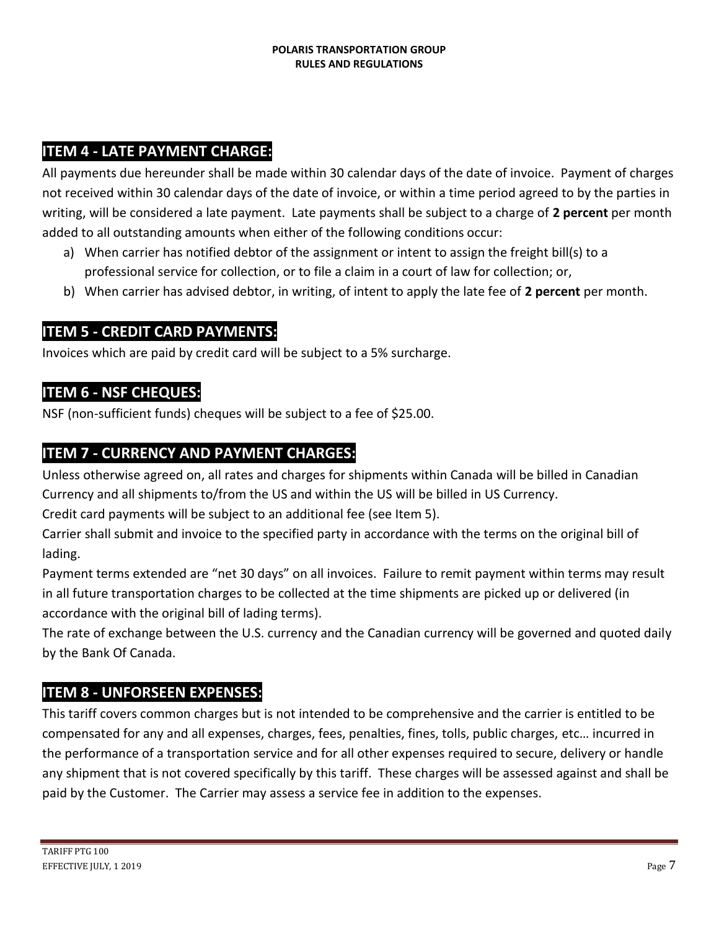### **ITEM 4 - LATE PAYMENT CHARGE:**

All payments due hereunder shall be made within 30 calendar days of the date of invoice. Payment of charges not received within 30 calendar days of the date of invoice, or within a time period agreed to by the parties in writing, will be considered a late payment. Late payments shall be subject to a charge of **2 percent** per month added to all outstanding amounts when either of the following conditions occur:

- a) When carrier has notified debtor of the assignment or intent to assign the freight bill(s) to a professional service for collection, or to file a claim in a court of law for collection; or,
- b) When carrier has advised debtor, in writing, of intent to apply the late fee of **2 percent** per month.

### **ITEM 5 - CREDIT CARD PAYMENTS:**

Invoices which are paid by credit card will be subject to a 5% surcharge.

### **ITEM 6 - NSF CHEQUES:**

NSF (non-sufficient funds) cheques will be subject to a fee of \$25.00.

### **ITEM 7 - CURRENCY AND PAYMENT CHARGES:**

Unless otherwise agreed on, all rates and charges for shipments within Canada will be billed in Canadian Currency and all shipments to/from the US and within the US will be billed in US Currency.

Credit card payments will be subject to an additional fee (see Item 5).

Carrier shall submit and invoice to the specified party in accordance with the terms on the original bill of lading.

Payment terms extended are "net 30 days" on all invoices. Failure to remit payment within terms may result in all future transportation charges to be collected at the time shipments are picked up or delivered (in accordance with the original bill of lading terms).

The rate of exchange between the U.S. currency and the Canadian currency will be governed and quoted daily by the Bank Of Canada.

#### **ITEM 8 - UNFORSEEN EXPENSES:**

This tariff covers common charges but is not intended to be comprehensive and the carrier is entitled to be compensated for any and all expenses, charges, fees, penalties, fines, tolls, public charges, etc… incurred in the performance of a transportation service and for all other expenses required to secure, delivery or handle any shipment that is not covered specifically by this tariff. These charges will be assessed against and shall be paid by the Customer. The Carrier may assess a service fee in addition to the expenses.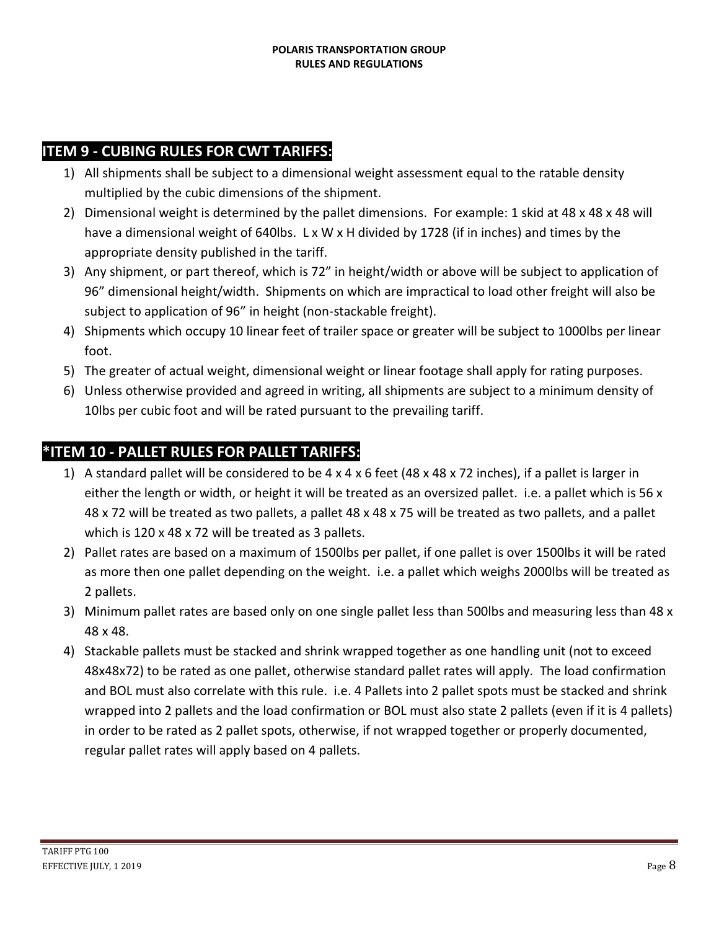### **ITEM 9 - CUBING RULES FOR CWT TARIFFS:**

- 1) All shipments shall be subject to a dimensional weight assessment equal to the ratable density multiplied by the cubic dimensions of the shipment.
- 2) Dimensional weight is determined by the pallet dimensions. For example: 1 skid at 48 x 48 x 48 will have a dimensional weight of 640lbs. L x W x H divided by 1728 (if in inches) and times by the appropriate density published in the tariff.
- 3) Any shipment, or part thereof, which is 72" in height/width or above will be subject to application of 96" dimensional height/width. Shipments on which are impractical to load other freight will also be subject to application of 96" in height (non-stackable freight).
- 4) Shipments which occupy 10 linear feet of trailer space or greater will be subject to 1000lbs per linear foot.
- 5) The greater of actual weight, dimensional weight or linear footage shall apply for rating purposes.
- 6) Unless otherwise provided and agreed in writing, all shipments are subject to a minimum density of 10lbs per cubic foot and will be rated pursuant to the prevailing tariff.

# **\*ITEM 10 - PALLET RULES FOR PALLET TARIFFS:**

- 1) A standard pallet will be considered to be  $4 \times 4 \times 6$  feet (48  $\times$  48  $\times$  72 inches), if a pallet is larger in either the length or width, or height it will be treated as an oversized pallet. i.e. a pallet which is 56 x 48 x 72 will be treated as two pallets, a pallet 48 x 48 x 75 will be treated as two pallets, and a pallet which is 120 x 48 x 72 will be treated as 3 pallets.
- 2) Pallet rates are based on a maximum of 1500lbs per pallet, if one pallet is over 1500lbs it will be rated as more then one pallet depending on the weight. i.e. a pallet which weighs 2000lbs will be treated as 2 pallets.
- 3) Minimum pallet rates are based only on one single pallet less than 500lbs and measuring less than 48 x 48 x 48.
- 4) Stackable pallets must be stacked and shrink wrapped together as one handling unit (not to exceed 48x48x72) to be rated as one pallet, otherwise standard pallet rates will apply. The load confirmation and BOL must also correlate with this rule. i.e. 4 Pallets into 2 pallet spots must be stacked and shrink wrapped into 2 pallets and the load confirmation or BOL must also state 2 pallets (even if it is 4 pallets) in order to be rated as 2 pallet spots, otherwise, if not wrapped together or properly documented, regular pallet rates will apply based on 4 pallets.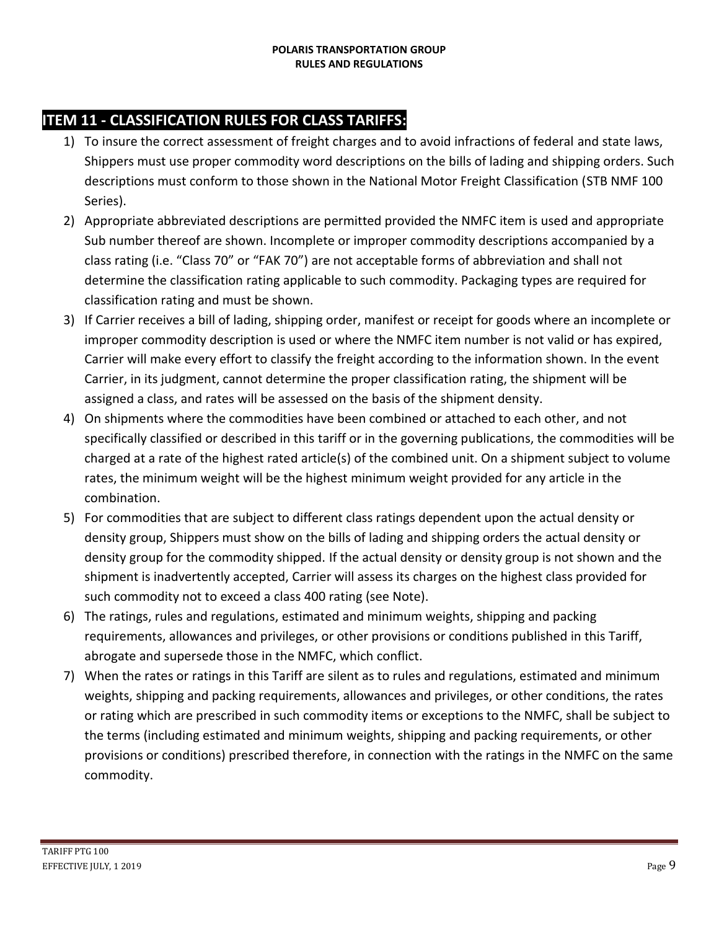# **ITEM 11 - CLASSIFICATION RULES FOR CLASS TARIFFS:**

- 1) To insure the correct assessment of freight charges and to avoid infractions of federal and state laws, Shippers must use proper commodity word descriptions on the bills of lading and shipping orders. Such descriptions must conform to those shown in the National Motor Freight Classification (STB NMF 100 Series).
- 2) Appropriate abbreviated descriptions are permitted provided the NMFC item is used and appropriate Sub number thereof are shown. Incomplete or improper commodity descriptions accompanied by a class rating (i.e. "Class 70" or "FAK 70") are not acceptable forms of abbreviation and shall not determine the classification rating applicable to such commodity. Packaging types are required for classification rating and must be shown.
- 3) If Carrier receives a bill of lading, shipping order, manifest or receipt for goods where an incomplete or improper commodity description is used or where the NMFC item number is not valid or has expired, Carrier will make every effort to classify the freight according to the information shown. In the event Carrier, in its judgment, cannot determine the proper classification rating, the shipment will be assigned a class, and rates will be assessed on the basis of the shipment density.
- 4) On shipments where the commodities have been combined or attached to each other, and not specifically classified or described in this tariff or in the governing publications, the commodities will be charged at a rate of the highest rated article(s) of the combined unit. On a shipment subject to volume rates, the minimum weight will be the highest minimum weight provided for any article in the combination.
- 5) For commodities that are subject to different class ratings dependent upon the actual density or density group, Shippers must show on the bills of lading and shipping orders the actual density or density group for the commodity shipped. If the actual density or density group is not shown and the shipment is inadvertently accepted, Carrier will assess its charges on the highest class provided for such commodity not to exceed a class 400 rating (see Note).
- 6) The ratings, rules and regulations, estimated and minimum weights, shipping and packing requirements, allowances and privileges, or other provisions or conditions published in this Tariff, abrogate and supersede those in the NMFC, which conflict.
- 7) When the rates or ratings in this Tariff are silent as to rules and regulations, estimated and minimum weights, shipping and packing requirements, allowances and privileges, or other conditions, the rates or rating which are prescribed in such commodity items or exceptions to the NMFC, shall be subject to the terms (including estimated and minimum weights, shipping and packing requirements, or other provisions or conditions) prescribed therefore, in connection with the ratings in the NMFC on the same commodity.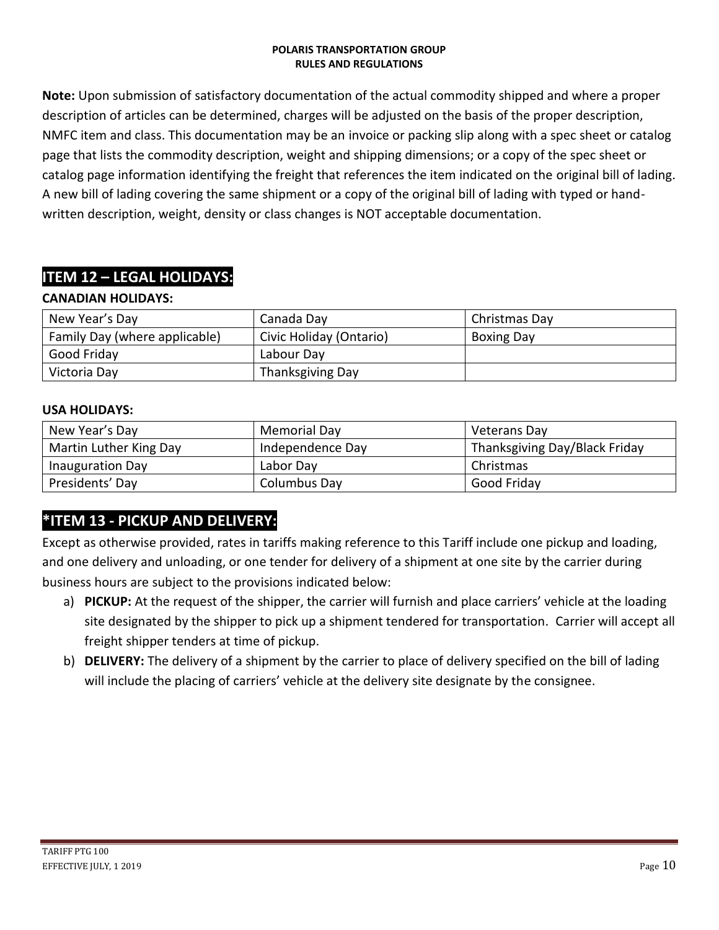**Note:** Upon submission of satisfactory documentation of the actual commodity shipped and where a proper description of articles can be determined, charges will be adjusted on the basis of the proper description, NMFC item and class. This documentation may be an invoice or packing slip along with a spec sheet or catalog page that lists the commodity description, weight and shipping dimensions; or a copy of the spec sheet or catalog page information identifying the freight that references the item indicated on the original bill of lading. A new bill of lading covering the same shipment or a copy of the original bill of lading with typed or handwritten description, weight, density or class changes is NOT acceptable documentation.

# **ITEM 12 – LEGAL HOLIDAYS:**

#### **CANADIAN HOLIDAYS:**

| New Year's Day                | Canada Day              | Christmas Day     |
|-------------------------------|-------------------------|-------------------|
| Family Day (where applicable) | Civic Holiday (Ontario) | <b>Boxing Day</b> |
| Good Friday                   | Labour Day              |                   |
| Victoria Day                  | Thanksgiving Day        |                   |

#### **USA HOLIDAYS:**

| New Year's Day          | <b>Memorial Day</b> | Veterans Day                  |
|-------------------------|---------------------|-------------------------------|
| Martin Luther King Day  | Independence Day    | Thanksgiving Day/Black Friday |
| <b>Inauguration Day</b> | Labor Day           | Christmas                     |
| Presidents' Day         | Columbus Day        | Good Friday                   |

### **\*ITEM 13 - PICKUP AND DELIVERY:**

Except as otherwise provided, rates in tariffs making reference to this Tariff include one pickup and loading, and one delivery and unloading, or one tender for delivery of a shipment at one site by the carrier during business hours are subject to the provisions indicated below:

- a) **PICKUP:** At the request of the shipper, the carrier will furnish and place carriers' vehicle at the loading site designated by the shipper to pick up a shipment tendered for transportation. Carrier will accept all freight shipper tenders at time of pickup.
- b) **DELIVERY:** The delivery of a shipment by the carrier to place of delivery specified on the bill of lading will include the placing of carriers' vehicle at the delivery site designate by the consignee.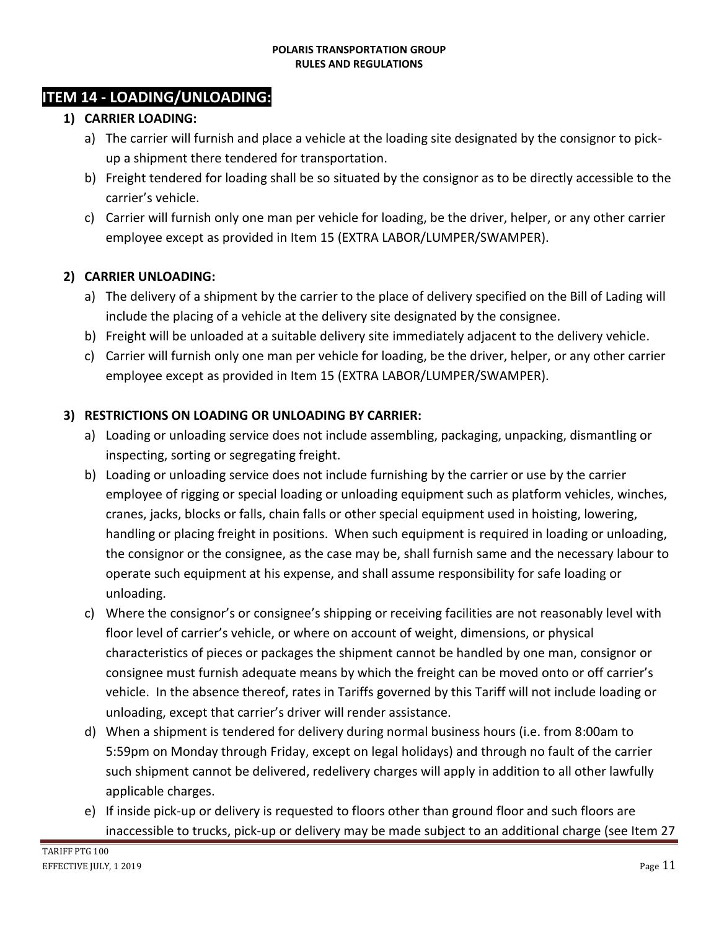### **ITEM 14 - LOADING/UNLOADING:**

#### **1) CARRIER LOADING:**

- a) The carrier will furnish and place a vehicle at the loading site designated by the consignor to pickup a shipment there tendered for transportation.
- b) Freight tendered for loading shall be so situated by the consignor as to be directly accessible to the carrier's vehicle.
- c) Carrier will furnish only one man per vehicle for loading, be the driver, helper, or any other carrier employee except as provided in Item 15 (EXTRA LABOR/LUMPER/SWAMPER).

#### **2) CARRIER UNLOADING:**

- a) The delivery of a shipment by the carrier to the place of delivery specified on the Bill of Lading will include the placing of a vehicle at the delivery site designated by the consignee.
- b) Freight will be unloaded at a suitable delivery site immediately adjacent to the delivery vehicle.
- c) Carrier will furnish only one man per vehicle for loading, be the driver, helper, or any other carrier employee except as provided in Item 15 (EXTRA LABOR/LUMPER/SWAMPER).

#### **3) RESTRICTIONS ON LOADING OR UNLOADING BY CARRIER:**

- a) Loading or unloading service does not include assembling, packaging, unpacking, dismantling or inspecting, sorting or segregating freight.
- b) Loading or unloading service does not include furnishing by the carrier or use by the carrier employee of rigging or special loading or unloading equipment such as platform vehicles, winches, cranes, jacks, blocks or falls, chain falls or other special equipment used in hoisting, lowering, handling or placing freight in positions. When such equipment is required in loading or unloading, the consignor or the consignee, as the case may be, shall furnish same and the necessary labour to operate such equipment at his expense, and shall assume responsibility for safe loading or unloading.
- c) Where the consignor's or consignee's shipping or receiving facilities are not reasonably level with floor level of carrier's vehicle, or where on account of weight, dimensions, or physical characteristics of pieces or packages the shipment cannot be handled by one man, consignor or consignee must furnish adequate means by which the freight can be moved onto or off carrier's vehicle. In the absence thereof, rates in Tariffs governed by this Tariff will not include loading or unloading, except that carrier's driver will render assistance.
- d) When a shipment is tendered for delivery during normal business hours (i.e. from 8:00am to 5:59pm on Monday through Friday, except on legal holidays) and through no fault of the carrier such shipment cannot be delivered, redelivery charges will apply in addition to all other lawfully applicable charges.
- e) If inside pick-up or delivery is requested to floors other than ground floor and such floors are inaccessible to trucks, pick-up or delivery may be made subject to an additional charge (see Item 27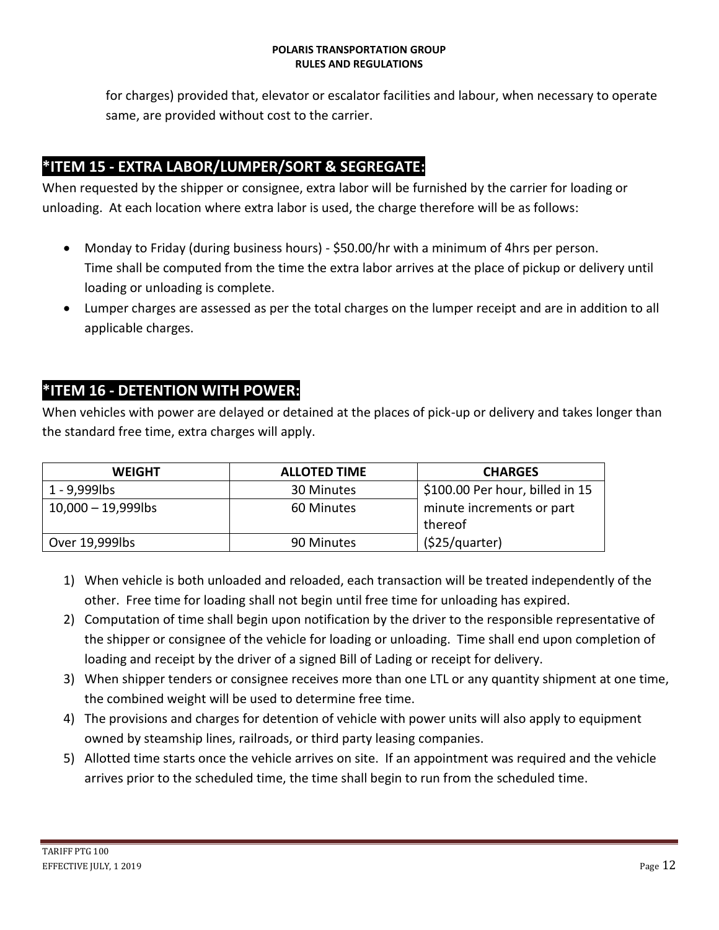for charges) provided that, elevator or escalator facilities and labour, when necessary to operate same, are provided without cost to the carrier.

# **\*ITEM 15 - EXTRA LABOR/LUMPER/SORT & SEGREGATE:**

When requested by the shipper or consignee, extra labor will be furnished by the carrier for loading or unloading. At each location where extra labor is used, the charge therefore will be as follows:

- Monday to Friday (during business hours) \$50.00/hr with a minimum of 4hrs per person. Time shall be computed from the time the extra labor arrives at the place of pickup or delivery until loading or unloading is complete.
- Lumper charges are assessed as per the total charges on the lumper receipt and are in addition to all applicable charges.

## **\*ITEM 16 - DETENTION WITH POWER:**

When vehicles with power are delayed or detained at the places of pick-up or delivery and takes longer than the standard free time, extra charges will apply.

| <b>WEIGHT</b>         | <b>ALLOTED TIME</b> | <b>CHARGES</b>                  |
|-----------------------|---------------------|---------------------------------|
| 1 - 9,999lbs          | 30 Minutes          | \$100.00 Per hour, billed in 15 |
| $10,000 - 19,999$ lbs | 60 Minutes          | minute increments or part       |
|                       |                     | thereof                         |
| Over 19,999lbs        | 90 Minutes          | (525/quarter)                   |

- 1) When vehicle is both unloaded and reloaded, each transaction will be treated independently of the other. Free time for loading shall not begin until free time for unloading has expired.
- 2) Computation of time shall begin upon notification by the driver to the responsible representative of the shipper or consignee of the vehicle for loading or unloading. Time shall end upon completion of loading and receipt by the driver of a signed Bill of Lading or receipt for delivery.
- 3) When shipper tenders or consignee receives more than one LTL or any quantity shipment at one time, the combined weight will be used to determine free time.
- 4) The provisions and charges for detention of vehicle with power units will also apply to equipment owned by steamship lines, railroads, or third party leasing companies.
- 5) Allotted time starts once the vehicle arrives on site. If an appointment was required and the vehicle arrives prior to the scheduled time, the time shall begin to run from the scheduled time.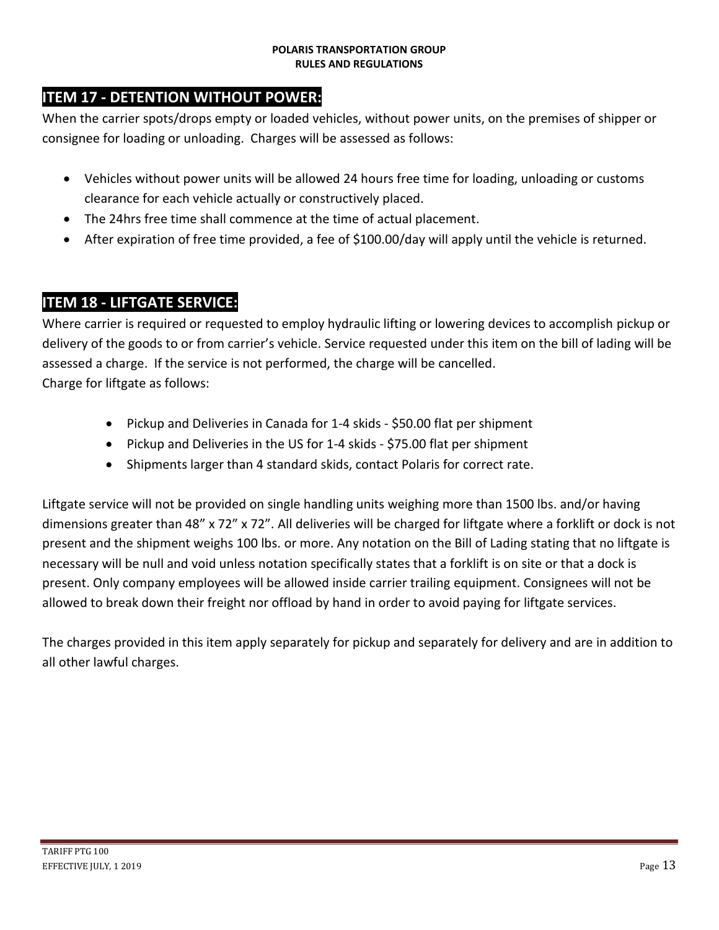# **ITEM 17 - DETENTION WITHOUT POWER:**

When the carrier spots/drops empty or loaded vehicles, without power units, on the premises of shipper or consignee for loading or unloading. Charges will be assessed as follows:

- Vehicles without power units will be allowed 24 hours free time for loading, unloading or customs clearance for each vehicle actually or constructively placed.
- The 24hrs free time shall commence at the time of actual placement.
- After expiration of free time provided, a fee of \$100.00/day will apply until the vehicle is returned.

### **ITEM 18 - LIFTGATE SERVICE:**

Where carrier is required or requested to employ hydraulic lifting or lowering devices to accomplish pickup or delivery of the goods to or from carrier's vehicle. Service requested under this item on the bill of lading will be assessed a charge. If the service is not performed, the charge will be cancelled. Charge for liftgate as follows:

- Pickup and Deliveries in Canada for 1-4 skids \$50.00 flat per shipment
- Pickup and Deliveries in the US for 1-4 skids \$75.00 flat per shipment
- Shipments larger than 4 standard skids, contact Polaris for correct rate.

Liftgate service will not be provided on single handling units weighing more than 1500 lbs. and/or having dimensions greater than 48" x 72" x 72". All deliveries will be charged for liftgate where a forklift or dock is not present and the shipment weighs 100 lbs. or more. Any notation on the Bill of Lading stating that no liftgate is necessary will be null and void unless notation specifically states that a forklift is on site or that a dock is present. Only company employees will be allowed inside carrier trailing equipment. Consignees will not be allowed to break down their freight nor offload by hand in order to avoid paying for liftgate services.

The charges provided in this item apply separately for pickup and separately for delivery and are in addition to all other lawful charges.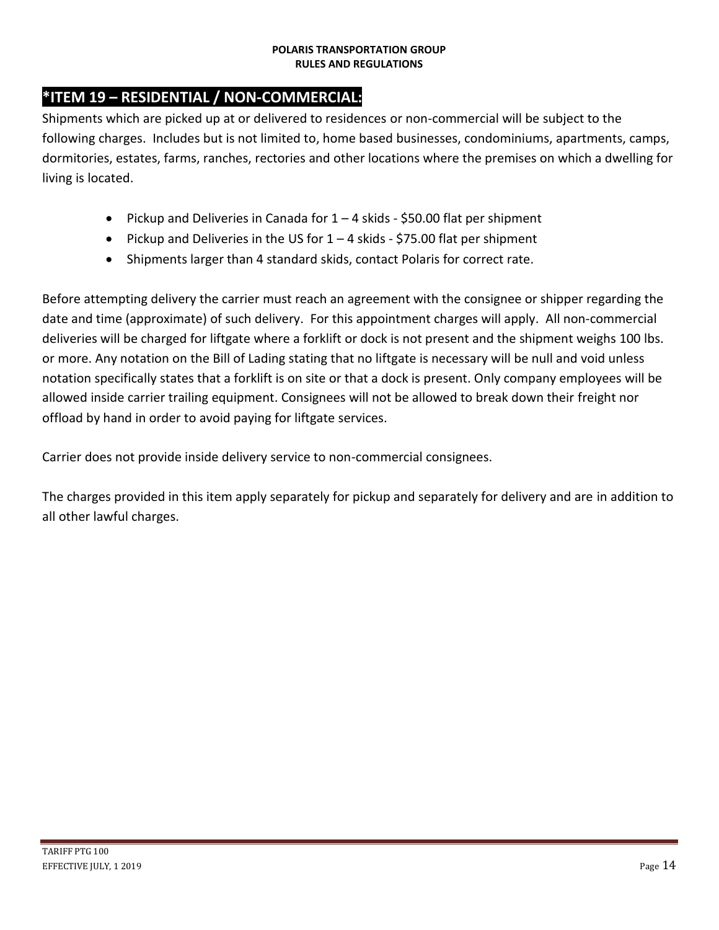# **\*ITEM 19 – RESIDENTIAL / NON-COMMERCIAL:**

Shipments which are picked up at or delivered to residences or non-commercial will be subject to the following charges. Includes but is not limited to, home based businesses, condominiums, apartments, camps, dormitories, estates, farms, ranches, rectories and other locations where the premises on which a dwelling for living is located.

- Pickup and Deliveries in Canada for  $1 4$  skids \$50.00 flat per shipment
- Pickup and Deliveries in the US for  $1 4$  skids \$75.00 flat per shipment
- Shipments larger than 4 standard skids, contact Polaris for correct rate.

Before attempting delivery the carrier must reach an agreement with the consignee or shipper regarding the date and time (approximate) of such delivery. For this appointment charges will apply. All non-commercial deliveries will be charged for liftgate where a forklift or dock is not present and the shipment weighs 100 lbs. or more. Any notation on the Bill of Lading stating that no liftgate is necessary will be null and void unless notation specifically states that a forklift is on site or that a dock is present. Only company employees will be allowed inside carrier trailing equipment. Consignees will not be allowed to break down their freight nor offload by hand in order to avoid paying for liftgate services.

Carrier does not provide inside delivery service to non-commercial consignees.

The charges provided in this item apply separately for pickup and separately for delivery and are in addition to all other lawful charges.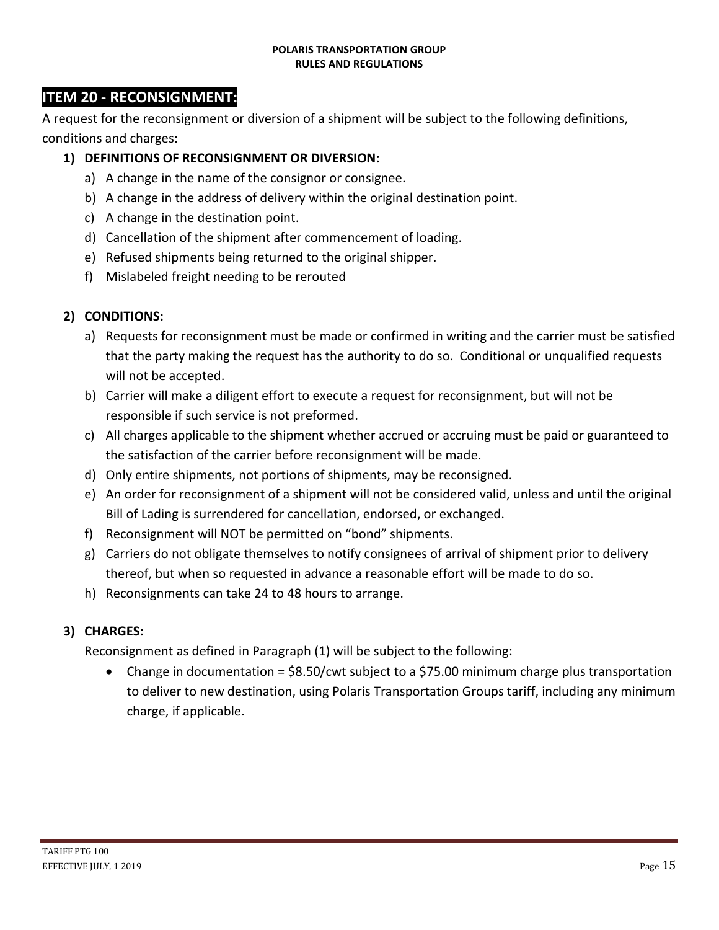### **ITEM 20 - RECONSIGNMENT:**

A request for the reconsignment or diversion of a shipment will be subject to the following definitions, conditions and charges:

#### **1) DEFINITIONS OF RECONSIGNMENT OR DIVERSION:**

- a) A change in the name of the consignor or consignee.
- b) A change in the address of delivery within the original destination point.
- c) A change in the destination point.
- d) Cancellation of the shipment after commencement of loading.
- e) Refused shipments being returned to the original shipper.
- f) Mislabeled freight needing to be rerouted

#### **2) CONDITIONS:**

- a) Requests for reconsignment must be made or confirmed in writing and the carrier must be satisfied that the party making the request has the authority to do so. Conditional or unqualified requests will not be accepted.
- b) Carrier will make a diligent effort to execute a request for reconsignment, but will not be responsible if such service is not preformed.
- c) All charges applicable to the shipment whether accrued or accruing must be paid or guaranteed to the satisfaction of the carrier before reconsignment will be made.
- d) Only entire shipments, not portions of shipments, may be reconsigned.
- e) An order for reconsignment of a shipment will not be considered valid, unless and until the original Bill of Lading is surrendered for cancellation, endorsed, or exchanged.
- f) Reconsignment will NOT be permitted on "bond" shipments.
- g) Carriers do not obligate themselves to notify consignees of arrival of shipment prior to delivery thereof, but when so requested in advance a reasonable effort will be made to do so.
- h) Reconsignments can take 24 to 48 hours to arrange.

#### **3) CHARGES:**

Reconsignment as defined in Paragraph (1) will be subject to the following:

• Change in documentation =  $$8.50/c$ wt subject to a  $$75.00$  minimum charge plus transportation to deliver to new destination, using Polaris Transportation Groups tariff, including any minimum charge, if applicable.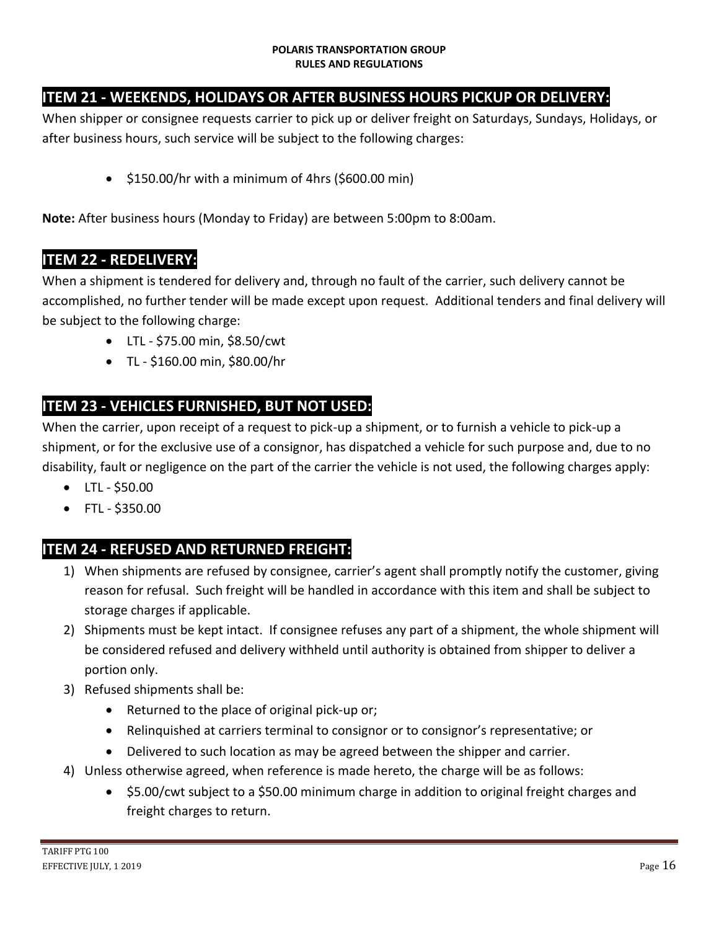# **ITEM 21 - WEEKENDS, HOLIDAYS OR AFTER BUSINESS HOURS PICKUP OR DELIVERY:**

When shipper or consignee requests carrier to pick up or deliver freight on Saturdays, Sundays, Holidays, or after business hours, such service will be subject to the following charges:

 $\bullet$  \$150.00/hr with a minimum of 4hrs (\$600.00 min)

**Note:** After business hours (Monday to Friday) are between 5:00pm to 8:00am.

### **ITEM 22 - REDELIVERY:**

When a shipment is tendered for delivery and, through no fault of the carrier, such delivery cannot be accomplished, no further tender will be made except upon request. Additional tenders and final delivery will be subject to the following charge:

- LTL \$75.00 min, \$8.50/cwt
- TL \$160.00 min, \$80.00/hr

## **ITEM 23 - VEHICLES FURNISHED, BUT NOT USED:**

When the carrier, upon receipt of a request to pick-up a shipment, or to furnish a vehicle to pick-up a shipment, or for the exclusive use of a consignor, has dispatched a vehicle for such purpose and, due to no disability, fault or negligence on the part of the carrier the vehicle is not used, the following charges apply:

- $\bullet$  LTL \$50.00
- FTL \$350.00

# **ITEM 24 - REFUSED AND RETURNED FREIGHT:**

- 1) When shipments are refused by consignee, carrier's agent shall promptly notify the customer, giving reason for refusal. Such freight will be handled in accordance with this item and shall be subject to storage charges if applicable.
- 2) Shipments must be kept intact. If consignee refuses any part of a shipment, the whole shipment will be considered refused and delivery withheld until authority is obtained from shipper to deliver a portion only.
- 3) Refused shipments shall be:
	- Returned to the place of original pick-up or;
	- Relinquished at carriers terminal to consignor or to consignor's representative; or
	- Delivered to such location as may be agreed between the shipper and carrier.
- 4) Unless otherwise agreed, when reference is made hereto, the charge will be as follows:
	- \$5.00/cwt subject to a \$50.00 minimum charge in addition to original freight charges and freight charges to return.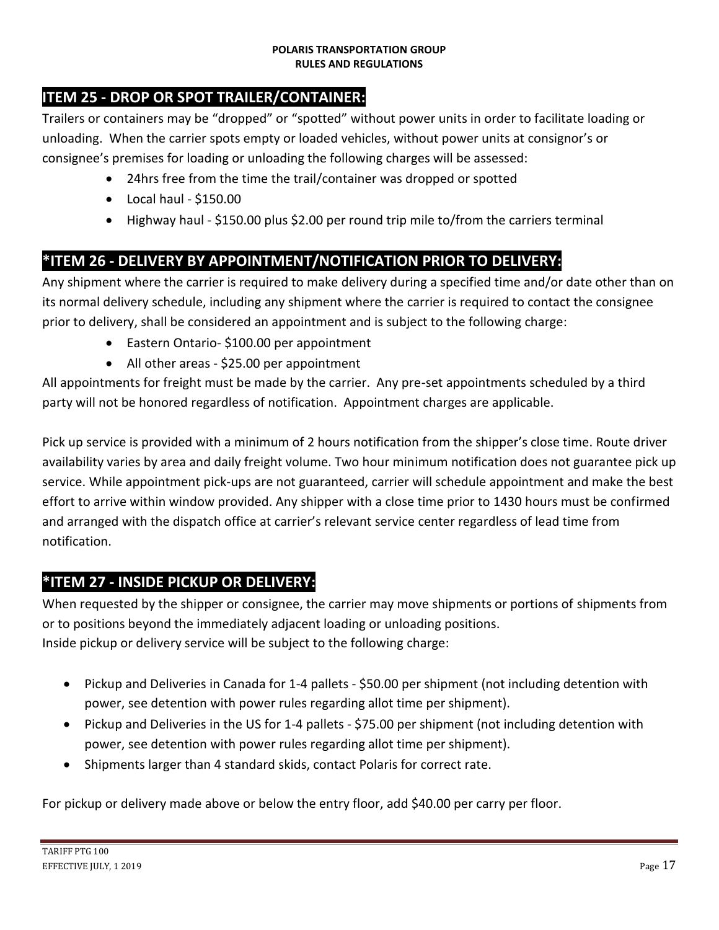# **ITEM 25 - DROP OR SPOT TRAILER/CONTAINER:**

Trailers or containers may be "dropped" or "spotted" without power units in order to facilitate loading or unloading. When the carrier spots empty or loaded vehicles, without power units at consignor's or consignee's premises for loading or unloading the following charges will be assessed:

- 24hrs free from the time the trail/container was dropped or spotted
- $\bullet$  Local haul \$150.00
- Highway haul \$150.00 plus \$2.00 per round trip mile to/from the carriers terminal

### **\*ITEM 26 - DELIVERY BY APPOINTMENT/NOTIFICATION PRIOR TO DELIVERY:**

Any shipment where the carrier is required to make delivery during a specified time and/or date other than on its normal delivery schedule, including any shipment where the carrier is required to contact the consignee prior to delivery, shall be considered an appointment and is subject to the following charge:

- Eastern Ontario- \$100.00 per appointment
- All other areas \$25.00 per appointment

All appointments for freight must be made by the carrier. Any pre-set appointments scheduled by a third party will not be honored regardless of notification. Appointment charges are applicable.

Pick up service is provided with a minimum of 2 hours notification from the shipper's close time. Route driver availability varies by area and daily freight volume. Two hour minimum notification does not guarantee pick up service. While appointment pick-ups are not guaranteed, carrier will schedule appointment and make the best effort to arrive within window provided. Any shipper with a close time prior to 1430 hours must be confirmed and arranged with the dispatch office at carrier's relevant service center regardless of lead time from notification.

### **\*ITEM 27 - INSIDE PICKUP OR DELIVERY:**

When requested by the shipper or consignee, the carrier may move shipments or portions of shipments from or to positions beyond the immediately adjacent loading or unloading positions. Inside pickup or delivery service will be subject to the following charge:

- Pickup and Deliveries in Canada for 1-4 pallets \$50.00 per shipment (not including detention with power, see detention with power rules regarding allot time per shipment).
- Pickup and Deliveries in the US for 1-4 pallets \$75.00 per shipment (not including detention with power, see detention with power rules regarding allot time per shipment).
- Shipments larger than 4 standard skids, contact Polaris for correct rate.

For pickup or delivery made above or below the entry floor, add \$40.00 per carry per floor.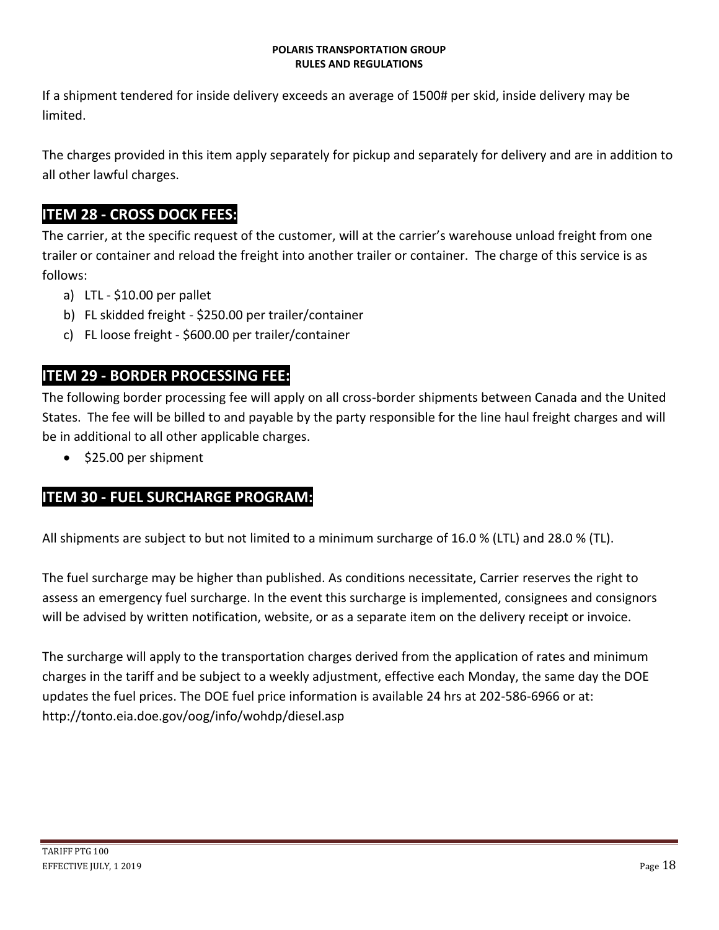If a shipment tendered for inside delivery exceeds an average of 1500# per skid, inside delivery may be limited.

The charges provided in this item apply separately for pickup and separately for delivery and are in addition to all other lawful charges.

### **ITEM 28 - CROSS DOCK FEES:**

The carrier, at the specific request of the customer, will at the carrier's warehouse unload freight from one trailer or container and reload the freight into another trailer or container. The charge of this service is as follows:

- a) LTL \$10.00 per pallet
- b) FL skidded freight \$250.00 per trailer/container
- c) FL loose freight \$600.00 per trailer/container

### **ITEM 29 - BORDER PROCESSING FEE:**

The following border processing fee will apply on all cross-border shipments between Canada and the United States. The fee will be billed to and payable by the party responsible for the line haul freight charges and will be in additional to all other applicable charges.

• \$25.00 per shipment

#### **ITEM 30 - FUEL SURCHARGE PROGRAM:**

All shipments are subject to but not limited to a minimum surcharge of 16.0 % (LTL) and 28.0 % (TL).

The fuel surcharge may be higher than published. As conditions necessitate, Carrier reserves the right to assess an emergency fuel surcharge. In the event this surcharge is implemented, consignees and consignors will be advised by written notification, website, or as a separate item on the delivery receipt or invoice.

The surcharge will apply to the transportation charges derived from the application of rates and minimum charges in the tariff and be subject to a weekly adjustment, effective each Monday, the same day the DOE updates the fuel prices. The DOE fuel price information is available 24 hrs at 202-586-6966 or at: http://tonto.eia.doe.gov/oog/info/wohdp/diesel.asp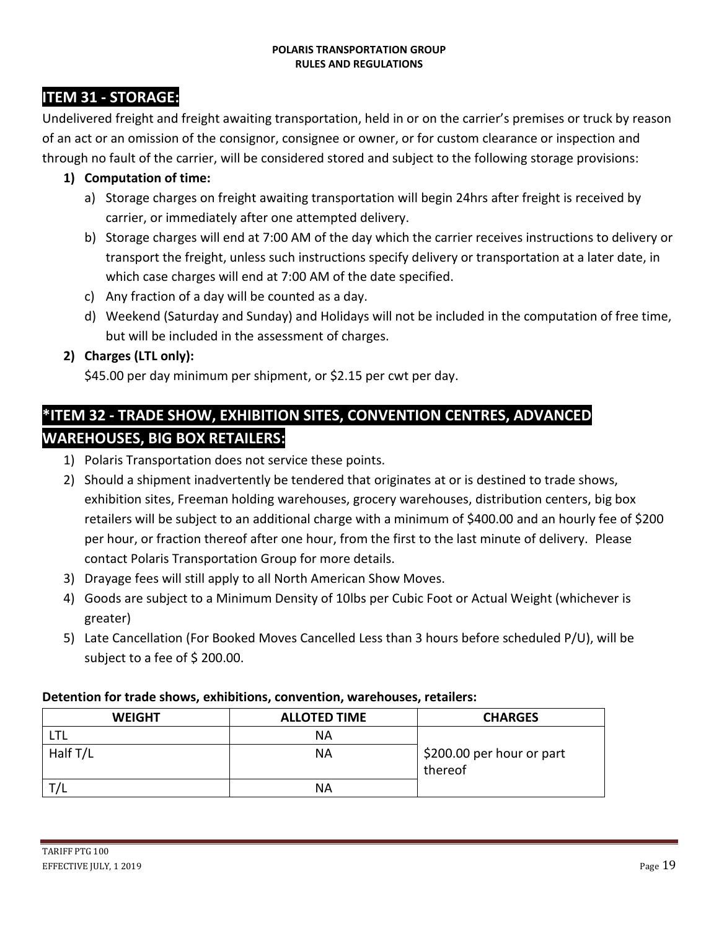### **ITEM 31 - STORAGE:**

Undelivered freight and freight awaiting transportation, held in or on the carrier's premises or truck by reason of an act or an omission of the consignor, consignee or owner, or for custom clearance or inspection and through no fault of the carrier, will be considered stored and subject to the following storage provisions:

#### **1) Computation of time:**

- a) Storage charges on freight awaiting transportation will begin 24hrs after freight is received by carrier, or immediately after one attempted delivery.
- b) Storage charges will end at 7:00 AM of the day which the carrier receives instructions to delivery or transport the freight, unless such instructions specify delivery or transportation at a later date, in which case charges will end at 7:00 AM of the date specified.
- c) Any fraction of a day will be counted as a day.
- d) Weekend (Saturday and Sunday) and Holidays will not be included in the computation of free time, but will be included in the assessment of charges.

#### **2) Charges (LTL only):**

\$45.00 per day minimum per shipment, or \$2.15 per cwt per day.

# **\*ITEM 32 - TRADE SHOW, EXHIBITION SITES, CONVENTION CENTRES, ADVANCED WAREHOUSES, BIG BOX RETAILERS:**

- 1) Polaris Transportation does not service these points.
- 2) Should a shipment inadvertently be tendered that originates at or is destined to trade shows, exhibition sites, Freeman holding warehouses, grocery warehouses, distribution centers, big box retailers will be subject to an additional charge with a minimum of \$400.00 and an hourly fee of \$200 per hour, or fraction thereof after one hour, from the first to the last minute of delivery. Please contact Polaris Transportation Group for more details.
- 3) Drayage fees will still apply to all North American Show Moves.
- 4) Goods are subject to a Minimum Density of 10lbs per Cubic Foot or Actual Weight (whichever is greater)
- 5) Late Cancellation (For Booked Moves Cancelled Less than 3 hours before scheduled P/U), will be subject to a fee of \$ 200.00.

#### **Detention for trade shows, exhibitions, convention, warehouses, retailers:**

| <b>WEIGHT</b> | <b>ALLOTED TIME</b> | <b>CHARGES</b>                       |
|---------------|---------------------|--------------------------------------|
| LTL           | ΝA                  |                                      |
| Half T/L      | ΝA                  | \$200.00 per hour or part<br>thereof |
|               | ΝA                  |                                      |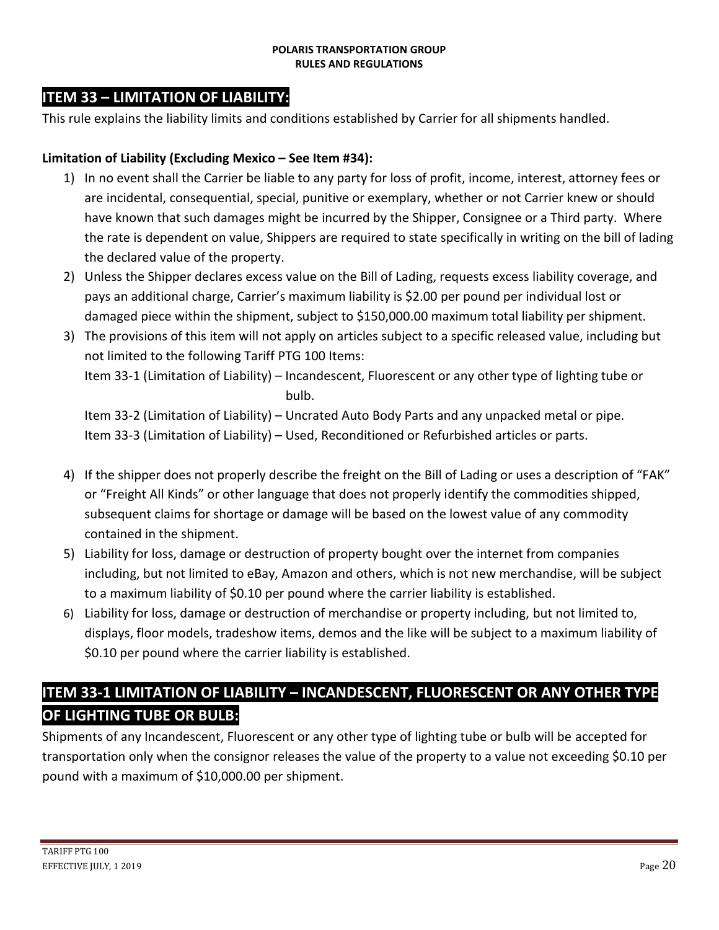### **ITEM 33 – LIMITATION OF LIABILITY:**

This rule explains the liability limits and conditions established by Carrier for all shipments handled.

#### **Limitation of Liability (Excluding Mexico – See Item #34):**

- 1) In no event shall the Carrier be liable to any party for loss of profit, income, interest, attorney fees or are incidental, consequential, special, punitive or exemplary, whether or not Carrier knew or should have known that such damages might be incurred by the Shipper, Consignee or a Third party. Where the rate is dependent on value, Shippers are required to state specifically in writing on the bill of lading the declared value of the property.
- 2) Unless the Shipper declares excess value on the Bill of Lading, requests excess liability coverage, and pays an additional charge, Carrier's maximum liability is \$2.00 per pound per individual lost or damaged piece within the shipment, subject to \$150,000.00 maximum total liability per shipment.
- 3) The provisions of this item will not apply on articles subject to a specific released value, including but not limited to the following Tariff PTG 100 Items: Item 33-1 (Limitation of Liability) – Incandescent, Fluorescent or any other type of lighting tube or

bulb.

Item 33-2 (Limitation of Liability) – Uncrated Auto Body Parts and any unpacked metal or pipe. Item 33-3 (Limitation of Liability) – Used, Reconditioned or Refurbished articles or parts.

- 4) If the shipper does not properly describe the freight on the Bill of Lading or uses a description of "FAK" or "Freight All Kinds" or other language that does not properly identify the commodities shipped, subsequent claims for shortage or damage will be based on the lowest value of any commodity contained in the shipment.
- 5) Liability for loss, damage or destruction of property bought over the internet from companies including, but not limited to eBay, Amazon and others, which is not new merchandise, will be subject to a maximum liability of \$0.10 per pound where the carrier liability is established.
- 6) Liability for loss, damage or destruction of merchandise or property including, but not limited to, displays, floor models, tradeshow items, demos and the like will be subject to a maximum liability of \$0.10 per pound where the carrier liability is established.

# **ITEM 33-1 LIMITATION OF LIABILITY – INCANDESCENT, FLUORESCENT OR ANY OTHER TYPE OF LIGHTING TUBE OR BULB:**

Shipments of any Incandescent, Fluorescent or any other type of lighting tube or bulb will be accepted for transportation only when the consignor releases the value of the property to a value not exceeding \$0.10 per pound with a maximum of \$10,000.00 per shipment.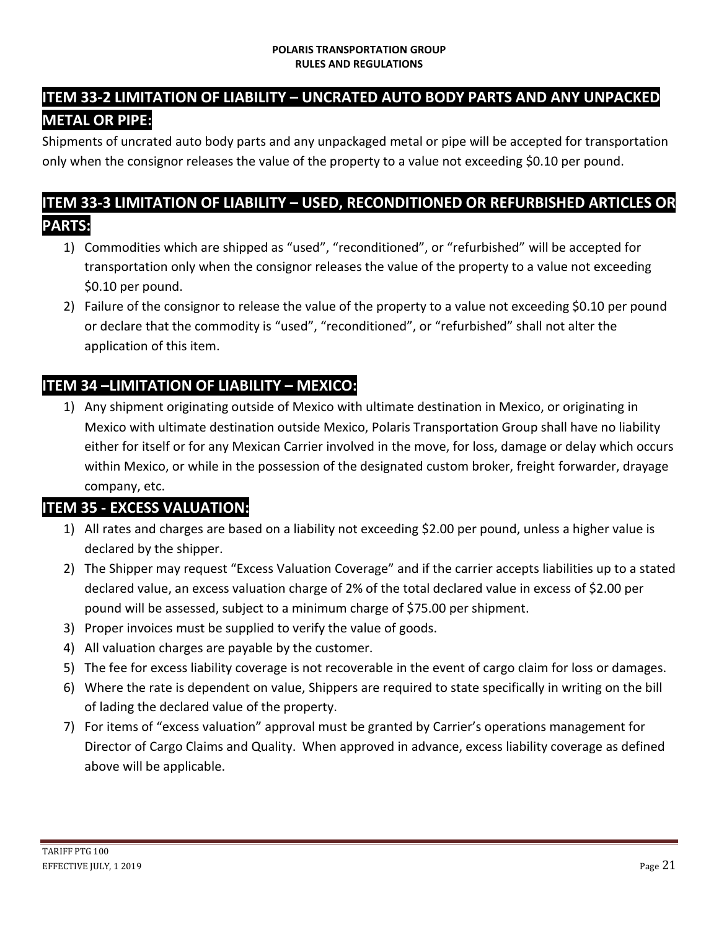# **ITEM 33-2 LIMITATION OF LIABILITY – UNCRATED AUTO BODY PARTS AND ANY UNPACKED METAL OR PIPE:**

Shipments of uncrated auto body parts and any unpackaged metal or pipe will be accepted for transportation only when the consignor releases the value of the property to a value not exceeding \$0.10 per pound.

### **ITEM 33-3 LIMITATION OF LIABILITY – USED, RECONDITIONED OR REFURBISHED ARTICLES OR PARTS:**

- 1) Commodities which are shipped as "used", "reconditioned", or "refurbished" will be accepted for transportation only when the consignor releases the value of the property to a value not exceeding \$0.10 per pound.
- 2) Failure of the consignor to release the value of the property to a value not exceeding \$0.10 per pound or declare that the commodity is "used", "reconditioned", or "refurbished" shall not alter the application of this item.

# **ITEM 34 –LIMITATION OF LIABILITY – MEXICO:**

1) Any shipment originating outside of Mexico with ultimate destination in Mexico, or originating in Mexico with ultimate destination outside Mexico, Polaris Transportation Group shall have no liability either for itself or for any Mexican Carrier involved in the move, for loss, damage or delay which occurs within Mexico, or while in the possession of the designated custom broker, freight forwarder, drayage company, etc.

### **ITEM 35 - EXCESS VALUATION:**

- 1) All rates and charges are based on a liability not exceeding \$2.00 per pound, unless a higher value is declared by the shipper.
- 2) The Shipper may request "Excess Valuation Coverage" and if the carrier accepts liabilities up to a stated declared value, an excess valuation charge of 2% of the total declared value in excess of \$2.00 per pound will be assessed, subject to a minimum charge of \$75.00 per shipment.
- 3) Proper invoices must be supplied to verify the value of goods.
- 4) All valuation charges are payable by the customer.
- 5) The fee for excess liability coverage is not recoverable in the event of cargo claim for loss or damages.
- 6) Where the rate is dependent on value, Shippers are required to state specifically in writing on the bill of lading the declared value of the property.
- 7) For items of "excess valuation" approval must be granted by Carrier's operations management for Director of Cargo Claims and Quality. When approved in advance, excess liability coverage as defined above will be applicable.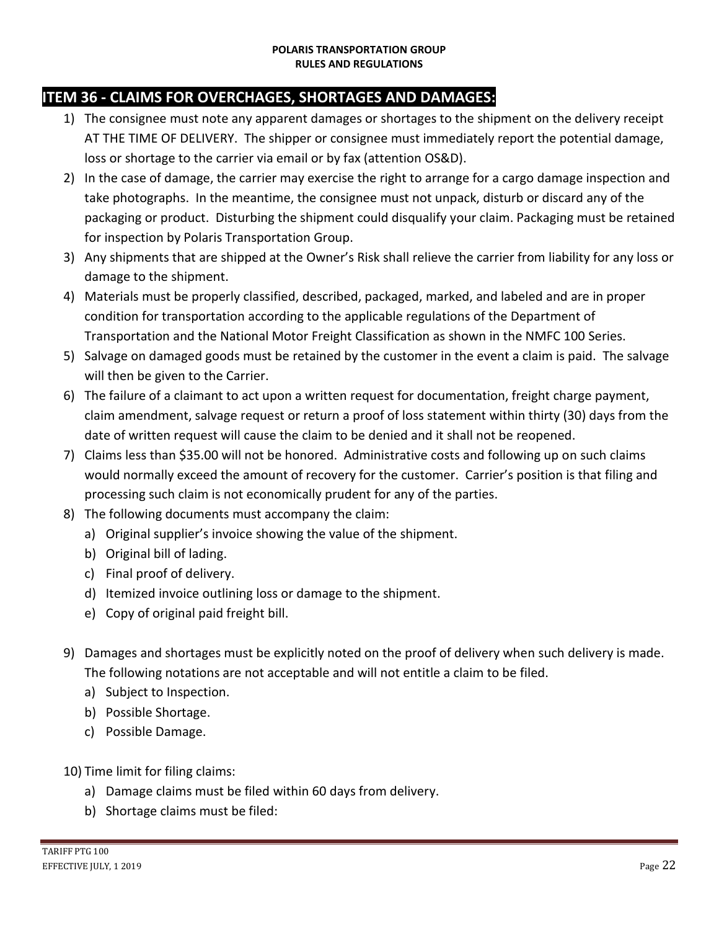### **ITEM 36 - CLAIMS FOR OVERCHAGES, SHORTAGES AND DAMAGES:**

- 1) The consignee must note any apparent damages or shortages to the shipment on the delivery receipt AT THE TIME OF DELIVERY. The shipper or consignee must immediately report the potential damage, loss or shortage to the carrier via email or by fax (attention OS&D).
- 2) In the case of damage, the carrier may exercise the right to arrange for a cargo damage inspection and take photographs. In the meantime, the consignee must not unpack, disturb or discard any of the packaging or product. Disturbing the shipment could disqualify your claim. Packaging must be retained for inspection by Polaris Transportation Group.
- 3) Any shipments that are shipped at the Owner's Risk shall relieve the carrier from liability for any loss or damage to the shipment.
- 4) Materials must be properly classified, described, packaged, marked, and labeled and are in proper condition for transportation according to the applicable regulations of the Department of Transportation and the National Motor Freight Classification as shown in the NMFC 100 Series.
- 5) Salvage on damaged goods must be retained by the customer in the event a claim is paid. The salvage will then be given to the Carrier.
- 6) The failure of a claimant to act upon a written request for documentation, freight charge payment, claim amendment, salvage request or return a proof of loss statement within thirty (30) days from the date of written request will cause the claim to be denied and it shall not be reopened.
- 7) Claims less than \$35.00 will not be honored. Administrative costs and following up on such claims would normally exceed the amount of recovery for the customer. Carrier's position is that filing and processing such claim is not economically prudent for any of the parties.
- 8) The following documents must accompany the claim:
	- a) Original supplier's invoice showing the value of the shipment.
	- b) Original bill of lading.
	- c) Final proof of delivery.
	- d) Itemized invoice outlining loss or damage to the shipment.
	- e) Copy of original paid freight bill.
- 9) Damages and shortages must be explicitly noted on the proof of delivery when such delivery is made. The following notations are not acceptable and will not entitle a claim to be filed.
	- a) Subject to Inspection.
	- b) Possible Shortage.
	- c) Possible Damage.
- 10) Time limit for filing claims:
	- a) Damage claims must be filed within 60 days from delivery.
	- b) Shortage claims must be filed: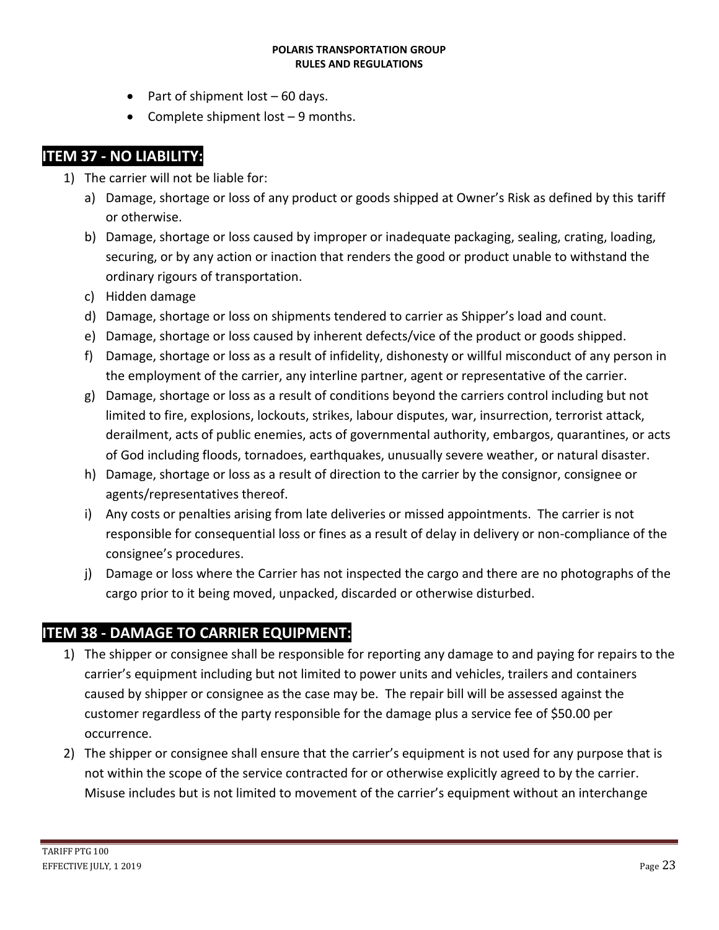- Part of shipment lost  $-60$  days.
- Complete shipment  $lost 9$  months.

### **ITEM 37 - NO LIABILITY:**

- 1) The carrier will not be liable for:
	- a) Damage, shortage or loss of any product or goods shipped at Owner's Risk as defined by this tariff or otherwise.
	- b) Damage, shortage or loss caused by improper or inadequate packaging, sealing, crating, loading, securing, or by any action or inaction that renders the good or product unable to withstand the ordinary rigours of transportation.
	- c) Hidden damage
	- d) Damage, shortage or loss on shipments tendered to carrier as Shipper's load and count.
	- e) Damage, shortage or loss caused by inherent defects/vice of the product or goods shipped.
	- f) Damage, shortage or loss as a result of infidelity, dishonesty or willful misconduct of any person in the employment of the carrier, any interline partner, agent or representative of the carrier.
	- g) Damage, shortage or loss as a result of conditions beyond the carriers control including but not limited to fire, explosions, lockouts, strikes, labour disputes, war, insurrection, terrorist attack, derailment, acts of public enemies, acts of governmental authority, embargos, quarantines, or acts of God including floods, tornadoes, earthquakes, unusually severe weather, or natural disaster.
	- h) Damage, shortage or loss as a result of direction to the carrier by the consignor, consignee or agents/representatives thereof.
	- i) Any costs or penalties arising from late deliveries or missed appointments. The carrier is not responsible for consequential loss or fines as a result of delay in delivery or non-compliance of the consignee's procedures.
	- j) Damage or loss where the Carrier has not inspected the cargo and there are no photographs of the cargo prior to it being moved, unpacked, discarded or otherwise disturbed.

### **ITEM 38 - DAMAGE TO CARRIER EQUIPMENT:**

- 1) The shipper or consignee shall be responsible for reporting any damage to and paying for repairs to the carrier's equipment including but not limited to power units and vehicles, trailers and containers caused by shipper or consignee as the case may be. The repair bill will be assessed against the customer regardless of the party responsible for the damage plus a service fee of \$50.00 per occurrence.
- 2) The shipper or consignee shall ensure that the carrier's equipment is not used for any purpose that is not within the scope of the service contracted for or otherwise explicitly agreed to by the carrier. Misuse includes but is not limited to movement of the carrier's equipment without an interchange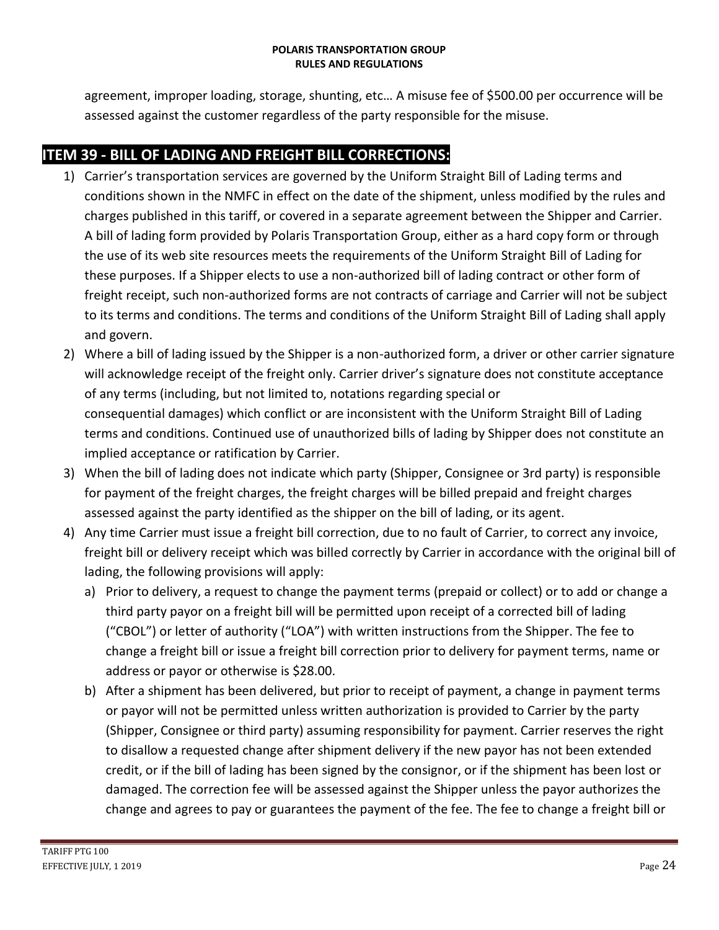agreement, improper loading, storage, shunting, etc… A misuse fee of \$500.00 per occurrence will be assessed against the customer regardless of the party responsible for the misuse.

# **ITEM 39 - BILL OF LADING AND FREIGHT BILL CORRECTIONS:**

- 1) Carrier's transportation services are governed by the Uniform Straight Bill of Lading terms and conditions shown in the NMFC in effect on the date of the shipment, unless modified by the rules and charges published in this tariff, or covered in a separate agreement between the Shipper and Carrier. A bill of lading form provided by Polaris Transportation Group, either as a hard copy form or through the use of its web site resources meets the requirements of the Uniform Straight Bill of Lading for these purposes. If a Shipper elects to use a non-authorized bill of lading contract or other form of freight receipt, such non-authorized forms are not contracts of carriage and Carrier will not be subject to its terms and conditions. The terms and conditions of the Uniform Straight Bill of Lading shall apply and govern.
- 2) Where a bill of lading issued by the Shipper is a non-authorized form, a driver or other carrier signature will acknowledge receipt of the freight only. Carrier driver's signature does not constitute acceptance of any terms (including, but not limited to, notations regarding special or consequential damages) which conflict or are inconsistent with the Uniform Straight Bill of Lading terms and conditions. Continued use of unauthorized bills of lading by Shipper does not constitute an implied acceptance or ratification by Carrier.
- 3) When the bill of lading does not indicate which party (Shipper, Consignee or 3rd party) is responsible for payment of the freight charges, the freight charges will be billed prepaid and freight charges assessed against the party identified as the shipper on the bill of lading, or its agent.
- 4) Any time Carrier must issue a freight bill correction, due to no fault of Carrier, to correct any invoice, freight bill or delivery receipt which was billed correctly by Carrier in accordance with the original bill of lading, the following provisions will apply:
	- a) Prior to delivery, a request to change the payment terms (prepaid or collect) or to add or change a third party payor on a freight bill will be permitted upon receipt of a corrected bill of lading ("CBOL") or letter of authority ("LOA") with written instructions from the Shipper. The fee to change a freight bill or issue a freight bill correction prior to delivery for payment terms, name or address or payor or otherwise is \$28.00.
	- b) After a shipment has been delivered, but prior to receipt of payment, a change in payment terms or payor will not be permitted unless written authorization is provided to Carrier by the party (Shipper, Consignee or third party) assuming responsibility for payment. Carrier reserves the right to disallow a requested change after shipment delivery if the new payor has not been extended credit, or if the bill of lading has been signed by the consignor, or if the shipment has been lost or damaged. The correction fee will be assessed against the Shipper unless the payor authorizes the change and agrees to pay or guarantees the payment of the fee. The fee to change a freight bill or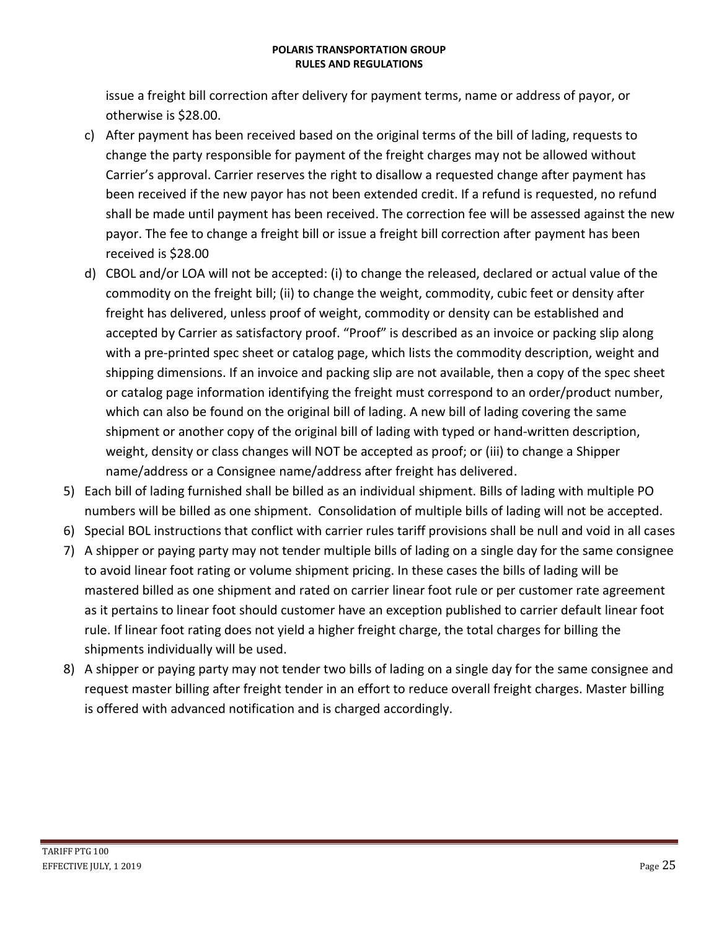issue a freight bill correction after delivery for payment terms, name or address of payor, or otherwise is \$28.00.

- c) After payment has been received based on the original terms of the bill of lading, requests to change the party responsible for payment of the freight charges may not be allowed without Carrier's approval. Carrier reserves the right to disallow a requested change after payment has been received if the new payor has not been extended credit. If a refund is requested, no refund shall be made until payment has been received. The correction fee will be assessed against the new payor. The fee to change a freight bill or issue a freight bill correction after payment has been received is \$28.00
- d) CBOL and/or LOA will not be accepted: (i) to change the released, declared or actual value of the commodity on the freight bill; (ii) to change the weight, commodity, cubic feet or density after freight has delivered, unless proof of weight, commodity or density can be established and accepted by Carrier as satisfactory proof. "Proof" is described as an invoice or packing slip along with a pre-printed spec sheet or catalog page, which lists the commodity description, weight and shipping dimensions. If an invoice and packing slip are not available, then a copy of the spec sheet or catalog page information identifying the freight must correspond to an order/product number, which can also be found on the original bill of lading. A new bill of lading covering the same shipment or another copy of the original bill of lading with typed or hand-written description, weight, density or class changes will NOT be accepted as proof; or (iii) to change a Shipper name/address or a Consignee name/address after freight has delivered.
- 5) Each bill of lading furnished shall be billed as an individual shipment. Bills of lading with multiple PO numbers will be billed as one shipment. Consolidation of multiple bills of lading will not be accepted.
- 6) Special BOL instructions that conflict with carrier rules tariff provisions shall be null and void in all cases
- 7) A shipper or paying party may not tender multiple bills of lading on a single day for the same consignee to avoid linear foot rating or volume shipment pricing. In these cases the bills of lading will be mastered billed as one shipment and rated on carrier linear foot rule or per customer rate agreement as it pertains to linear foot should customer have an exception published to carrier default linear foot rule. If linear foot rating does not yield a higher freight charge, the total charges for billing the shipments individually will be used.
- 8) A shipper or paying party may not tender two bills of lading on a single day for the same consignee and request master billing after freight tender in an effort to reduce overall freight charges. Master billing is offered with advanced notification and is charged accordingly.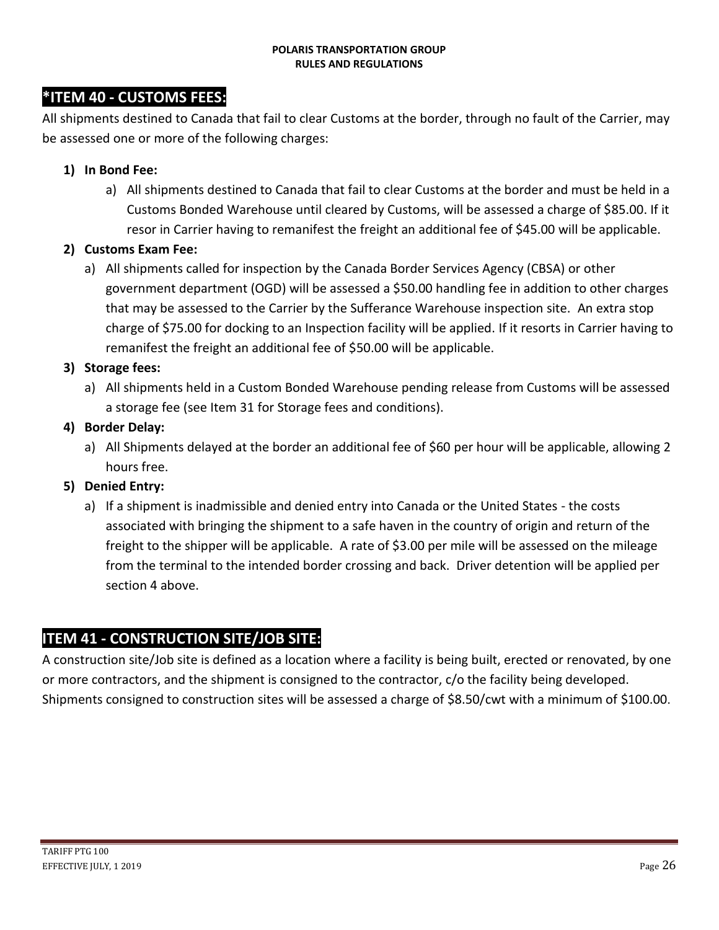### **\*ITEM 40 - CUSTOMS FEES:**

All shipments destined to Canada that fail to clear Customs at the border, through no fault of the Carrier, may be assessed one or more of the following charges:

#### **1) In Bond Fee:**

a) All shipments destined to Canada that fail to clear Customs at the border and must be held in a Customs Bonded Warehouse until cleared by Customs, will be assessed a charge of \$85.00. If it resor in Carrier having to remanifest the freight an additional fee of \$45.00 will be applicable.

#### **2) Customs Exam Fee:**

a) All shipments called for inspection by the Canada Border Services Agency (CBSA) or other government department (OGD) will be assessed a \$50.00 handling fee in addition to other charges that may be assessed to the Carrier by the Sufferance Warehouse inspection site. An extra stop charge of \$75.00 for docking to an Inspection facility will be applied. If it resorts in Carrier having to remanifest the freight an additional fee of \$50.00 will be applicable.

#### **3) Storage fees:**

a) All shipments held in a Custom Bonded Warehouse pending release from Customs will be assessed a storage fee (see Item 31 for Storage fees and conditions).

#### **4) Border Delay:**

a) All Shipments delayed at the border an additional fee of \$60 per hour will be applicable, allowing 2 hours free.

#### **5) Denied Entry:**

a) If a shipment is inadmissible and denied entry into Canada or the United States - the costs associated with bringing the shipment to a safe haven in the country of origin and return of the freight to the shipper will be applicable. A rate of \$3.00 per mile will be assessed on the mileage from the terminal to the intended border crossing and back. Driver detention will be applied per section 4 above.

### **ITEM 41 - CONSTRUCTION SITE/JOB SITE:**

A construction site/Job site is defined as a location where a facility is being built, erected or renovated, by one or more contractors, and the shipment is consigned to the contractor, c/o the facility being developed. Shipments consigned to construction sites will be assessed a charge of \$8.50/cwt with a minimum of \$100.00.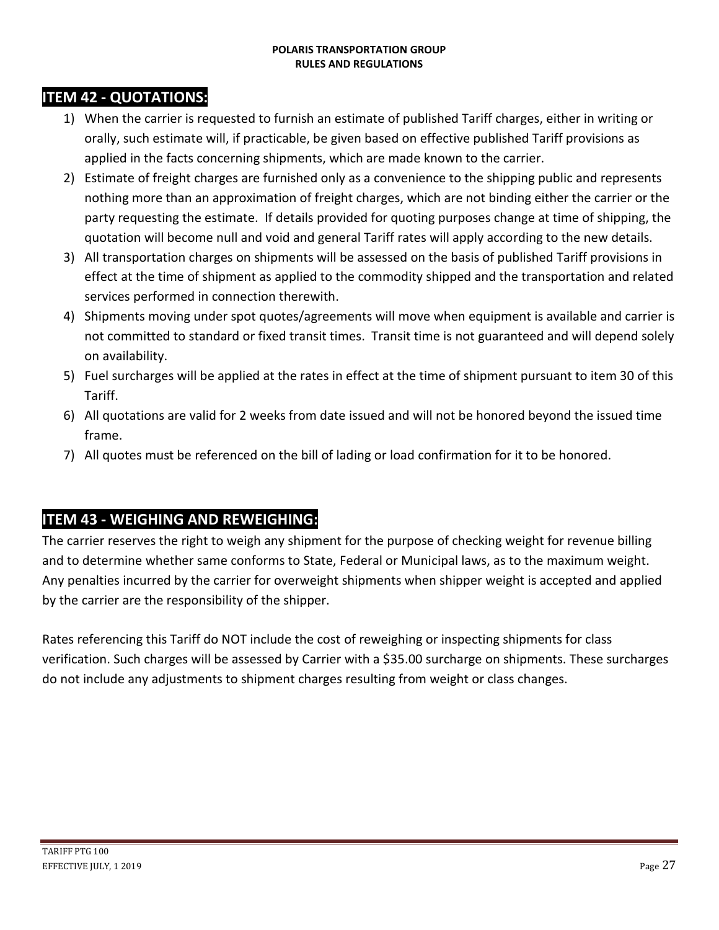## **ITEM 42 - QUOTATIONS:**

- 1) When the carrier is requested to furnish an estimate of published Tariff charges, either in writing or orally, such estimate will, if practicable, be given based on effective published Tariff provisions as applied in the facts concerning shipments, which are made known to the carrier.
- 2) Estimate of freight charges are furnished only as a convenience to the shipping public and represents nothing more than an approximation of freight charges, which are not binding either the carrier or the party requesting the estimate. If details provided for quoting purposes change at time of shipping, the quotation will become null and void and general Tariff rates will apply according to the new details.
- 3) All transportation charges on shipments will be assessed on the basis of published Tariff provisions in effect at the time of shipment as applied to the commodity shipped and the transportation and related services performed in connection therewith.
- 4) Shipments moving under spot quotes/agreements will move when equipment is available and carrier is not committed to standard or fixed transit times. Transit time is not guaranteed and will depend solely on availability.
- 5) Fuel surcharges will be applied at the rates in effect at the time of shipment pursuant to item 30 of this Tariff.
- 6) All quotations are valid for 2 weeks from date issued and will not be honored beyond the issued time frame.
- 7) All quotes must be referenced on the bill of lading or load confirmation for it to be honored.

### **ITEM 43 - WEIGHING AND REWEIGHING:**

The carrier reserves the right to weigh any shipment for the purpose of checking weight for revenue billing and to determine whether same conforms to State, Federal or Municipal laws, as to the maximum weight. Any penalties incurred by the carrier for overweight shipments when shipper weight is accepted and applied by the carrier are the responsibility of the shipper.

Rates referencing this Tariff do NOT include the cost of reweighing or inspecting shipments for class verification. Such charges will be assessed by Carrier with a \$35.00 surcharge on shipments. These surcharges do not include any adjustments to shipment charges resulting from weight or class changes.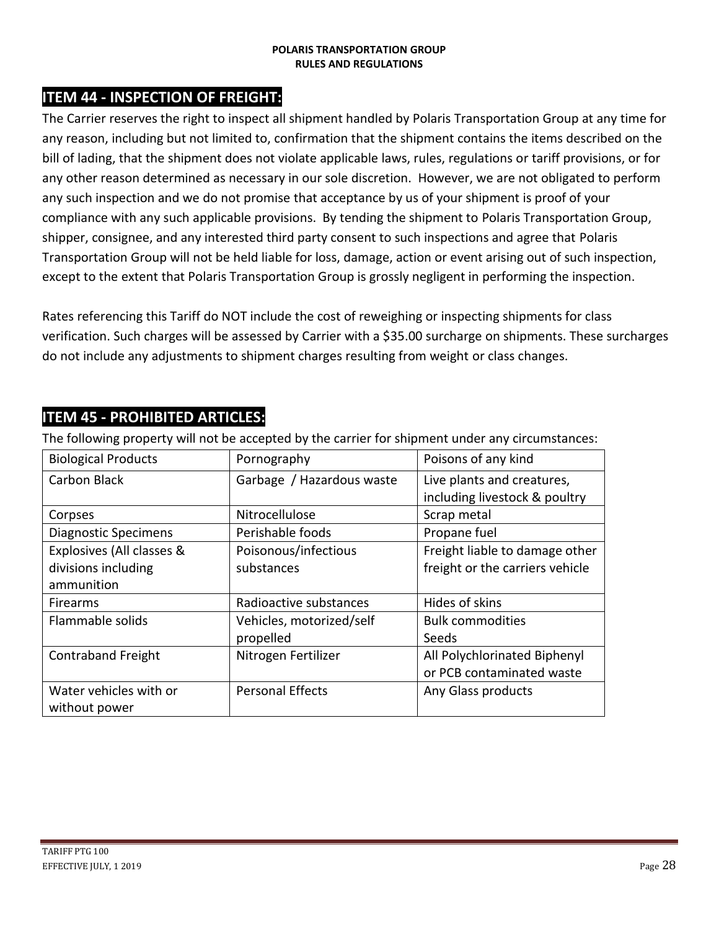### **ITEM 44 - INSPECTION OF FREIGHT:**

The Carrier reserves the right to inspect all shipment handled by Polaris Transportation Group at any time for any reason, including but not limited to, confirmation that the shipment contains the items described on the bill of lading, that the shipment does not violate applicable laws, rules, regulations or tariff provisions, or for any other reason determined as necessary in our sole discretion. However, we are not obligated to perform any such inspection and we do not promise that acceptance by us of your shipment is proof of your compliance with any such applicable provisions. By tending the shipment to Polaris Transportation Group, shipper, consignee, and any interested third party consent to such inspections and agree that Polaris Transportation Group will not be held liable for loss, damage, action or event arising out of such inspection, except to the extent that Polaris Transportation Group is grossly negligent in performing the inspection.

Rates referencing this Tariff do NOT include the cost of reweighing or inspecting shipments for class verification. Such charges will be assessed by Carrier with a \$35.00 surcharge on shipments. These surcharges do not include any adjustments to shipment charges resulting from weight or class changes.

| The following property will not be accepted by the carrier for shipment under any circumstances. |                           |                                 |  |  |  |  |  |
|--------------------------------------------------------------------------------------------------|---------------------------|---------------------------------|--|--|--|--|--|
| <b>Biological Products</b>                                                                       | Pornography               | Poisons of any kind             |  |  |  |  |  |
| Carbon Black                                                                                     | Garbage / Hazardous waste | Live plants and creatures,      |  |  |  |  |  |
|                                                                                                  |                           | including livestock & poultry   |  |  |  |  |  |
| Corpses                                                                                          | Nitrocellulose            | Scrap metal                     |  |  |  |  |  |
| <b>Diagnostic Specimens</b>                                                                      | Perishable foods          | Propane fuel                    |  |  |  |  |  |
| Explosives (All classes &                                                                        | Poisonous/infectious      | Freight liable to damage other  |  |  |  |  |  |
| divisions including                                                                              | substances                | freight or the carriers vehicle |  |  |  |  |  |
| ammunition                                                                                       |                           |                                 |  |  |  |  |  |
| <b>Firearms</b>                                                                                  | Radioactive substances    | Hides of skins                  |  |  |  |  |  |
| Flammable solids                                                                                 | Vehicles, motorized/self  | <b>Bulk commodities</b>         |  |  |  |  |  |
|                                                                                                  | propelled                 | Seeds                           |  |  |  |  |  |
| <b>Contraband Freight</b>                                                                        | Nitrogen Fertilizer       | All Polychlorinated Biphenyl    |  |  |  |  |  |
|                                                                                                  |                           | or PCB contaminated waste       |  |  |  |  |  |
| Water vehicles with or                                                                           | <b>Personal Effects</b>   | Any Glass products              |  |  |  |  |  |
| without power                                                                                    |                           |                                 |  |  |  |  |  |

### **ITEM 45 - PROHIBITED ARTICLES:**

The following property will not be accepted by the carrier for shipment under any circumstances: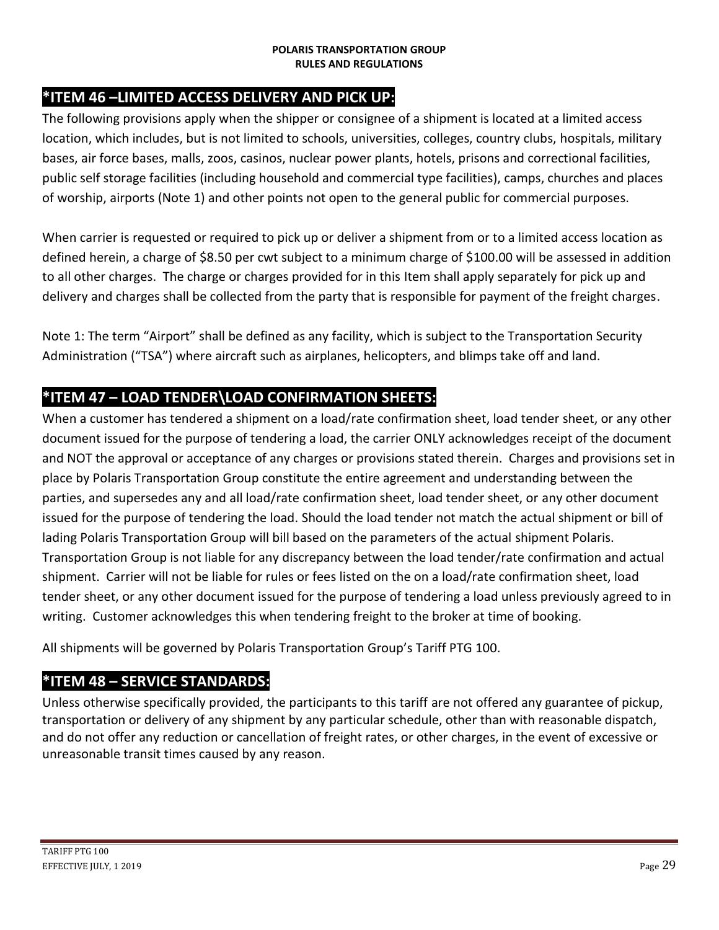## **\*ITEM 46 –LIMITED ACCESS DELIVERY AND PICK UP:**

The following provisions apply when the shipper or consignee of a shipment is located at a limited access location, which includes, but is not limited to schools, universities, colleges, country clubs, hospitals, military bases, air force bases, malls, zoos, casinos, nuclear power plants, hotels, prisons and correctional facilities, public self storage facilities (including household and commercial type facilities), camps, churches and places of worship, airports (Note 1) and other points not open to the general public for commercial purposes.

When carrier is requested or required to pick up or deliver a shipment from or to a limited access location as defined herein, a charge of \$8.50 per cwt subject to a minimum charge of \$100.00 will be assessed in addition to all other charges. The charge or charges provided for in this Item shall apply separately for pick up and delivery and charges shall be collected from the party that is responsible for payment of the freight charges.

Note 1: The term "Airport" shall be defined as any facility, which is subject to the Transportation Security Administration ("TSA") where aircraft such as airplanes, helicopters, and blimps take off and land.

## **\*ITEM 47 – LOAD TENDER\LOAD CONFIRMATION SHEETS:**

When a customer has tendered a shipment on a load/rate confirmation sheet, load tender sheet, or any other document issued for the purpose of tendering a load, the carrier ONLY acknowledges receipt of the document and NOT the approval or acceptance of any charges or provisions stated therein. Charges and provisions set in place by Polaris Transportation Group constitute the entire agreement and understanding between the parties, and supersedes any and all load/rate confirmation sheet, load tender sheet, or any other document issued for the purpose of tendering the load. Should the load tender not match the actual shipment or bill of lading Polaris Transportation Group will bill based on the parameters of the actual shipment Polaris. Transportation Group is not liable for any discrepancy between the load tender/rate confirmation and actual shipment. Carrier will not be liable for rules or fees listed on the on a load/rate confirmation sheet, load tender sheet, or any other document issued for the purpose of tendering a load unless previously agreed to in writing. Customer acknowledges this when tendering freight to the broker at time of booking.

All shipments will be governed by Polaris Transportation Group's Tariff PTG 100.

#### **\*ITEM 48 – SERVICE STANDARDS:**

Unless otherwise specifically provided, the participants to this tariff are not offered any guarantee of pickup, transportation or delivery of any shipment by any particular schedule, other than with reasonable dispatch, and do not offer any reduction or cancellation of freight rates, or other charges, in the event of excessive or unreasonable transit times caused by any reason.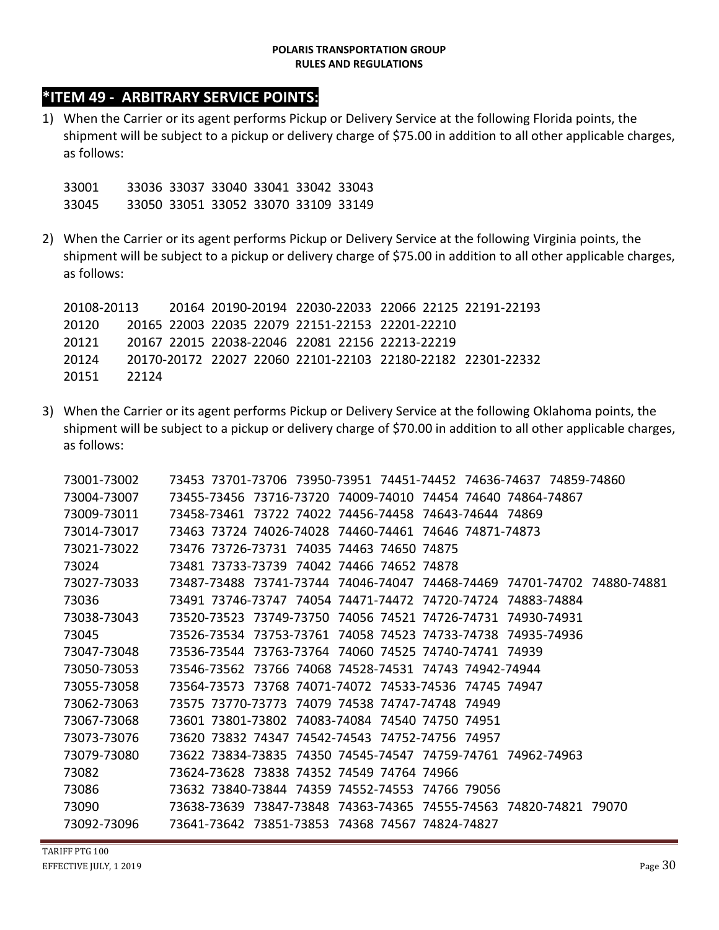### **\*ITEM 49 - ARBITRARY SERVICE POINTS:**

1) When the Carrier or its agent performs Pickup or Delivery Service at the following Florida points, the shipment will be subject to a pickup or delivery charge of \$75.00 in addition to all other applicable charges, as follows:

33001 33036 33037 33040 33041 33042 33043 33045 33050 33051 33052 33070 33109 33149

2) When the Carrier or its agent performs Pickup or Delivery Service at the following Virginia points, the shipment will be subject to a pickup or delivery charge of \$75.00 in addition to all other applicable charges, as follows:

20108-20113 20164 20190-20194 22030-22033 22066 22125 22191-22193 20120 20165 22003 22035 22079 22151-22153 22201-22210 20121 20167 22015 22038-22046 22081 22156 22213-22219 20124 20170-20172 22027 22060 22101-22103 22180-22182 22301-22332 20151 22124

3) When the Carrier or its agent performs Pickup or Delivery Service at the following Oklahoma points, the shipment will be subject to a pickup or delivery charge of \$70.00 in addition to all other applicable charges, as follows:

| 73001-73002 | 73453 73701-73706 73950-73951 74451-74452 74636-74637 74859-74860                                                   |
|-------------|---------------------------------------------------------------------------------------------------------------------|
| 73004-73007 | 73455-73456     73716-73720     74009-74010     74454     74640     74864-74867                                     |
| 73009-73011 | 73458-73461 73722 74022 74456-74458 74643-74644 74869                                                               |
| 73014-73017 | 73463 73724 74026-74028 74460-74461 74646 74871-74873                                                               |
| 73021-73022 | 73476 73726-73731 74035 74463 74650 74875                                                                           |
| 73024       | 73481 73733-73739 74042 74466 74652 74878                                                                           |
| 73027-73033 | 73487-73488 73741-73744 74046-74047 74468-74469 74701-74702 74880-74881                                             |
| 73036       | 73491 73746-73747 74054 74471-74472 74720-74724 74883-74884                                                         |
| 73038-73043 | 73520-73523 73749-73750 74056 74521 74726-74731 74930-74931                                                         |
| 73045       | 73526-73534                                 73753-73761                     74523                       74733-74936 |
| 73047-73048 | 73536-73544 73763-73764 74060 74525 74740-74741 74939                                                               |
| 73050-73053 | 73546-73562 73766 74068 74528-74531 74743 74942-74944                                                               |
| 73055-73058 | 73564-73573 73768 74071-74072 74533-74536 74745 74947                                                               |
| 73062-73063 | 73575 73770-73773 74079 74538 74747-74748 74949                                                                     |
| 73067-73068 | 73601 73801-73802 74083-74084 74540 74750 74951                                                                     |
| 73073-73076 | 73620 73832 74347 74542-74543 74752-74756 74957                                                                     |
| 73079-73080 | 73622 73834-73835 74350 74545-74547 74759-74761 74962-74963                                                         |
| 73082       | 73624-73628 73838 74352 74549 74764 74966                                                                           |
| 73086       | 73632 73840-73844 74359 74552-74553 74766 79056                                                                     |
| 73090       | 73638-73639     73847-73848     74363-74365     74555-74563     74820-74821     79070                               |
| 73092-73096 | 73641-73642 73851-73853 74368 74567 74824-74827                                                                     |

TARIFF PTG 100 **EFFECTIVE JULY, 1 2019** Page  $30$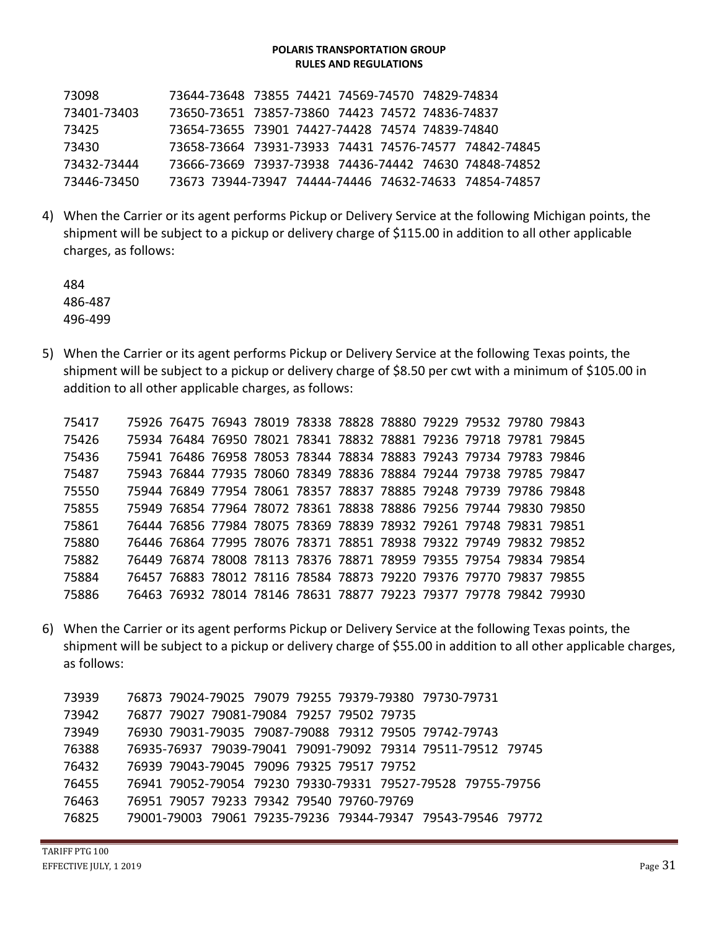| 73098       | 73644-73648 73855 74421 74569-74570 74829-74834       |  |  |  |  |
|-------------|-------------------------------------------------------|--|--|--|--|
| 73401-73403 | 73650-73651 73857-73860 74423 74572 74836-74837       |  |  |  |  |
| 73425       | 73654-73655 73901 74427-74428 74574 74839-74840       |  |  |  |  |
| 73430       | 73658-73664 73931-73933 74431 74576-74577 74842-74845 |  |  |  |  |
| 73432-73444 | 73666-73669 73937-73938 74436-74442 74630 74848-74852 |  |  |  |  |
| 73446-73450 | 73673 73944-73947 74444-74446 74632-74633 74854-74857 |  |  |  |  |

4) When the Carrier or its agent performs Pickup or Delivery Service at the following Michigan points, the shipment will be subject to a pickup or delivery charge of \$115.00 in addition to all other applicable charges, as follows:

484 486-487 496-499

5) When the Carrier or its agent performs Pickup or Delivery Service at the following Texas points, the shipment will be subject to a pickup or delivery charge of \$8.50 per cwt with a minimum of \$105.00 in addition to all other applicable charges, as follows:

| 75417 |  |  |  | 75926 76475 76943 78019 78338 78828 78880 79229 79532 79780 79843 |  |  |
|-------|--|--|--|-------------------------------------------------------------------|--|--|
| 75426 |  |  |  | 75934 76484 76950 78021 78341 78832 78881 79236 79718 79781 79845 |  |  |
| 75436 |  |  |  | 75941 76486 76958 78053 78344 78834 78883 79243 79734 79783 79846 |  |  |
| 75487 |  |  |  | 75943 76844 77935 78060 78349 78836 78884 79244 79738 79785 79847 |  |  |
| 75550 |  |  |  | 75944 76849 77954 78061 78357 78837 78885 79248 79739 79786 79848 |  |  |
| 75855 |  |  |  | 75949 76854 77964 78072 78361 78838 78886 79256 79744 79830 79850 |  |  |
| 75861 |  |  |  | 76444 76856 77984 78075 78369 78839 78932 79261 79748 79831 79851 |  |  |
| 75880 |  |  |  | 76446 76864 77995 78076 78371 78851 78938 79322 79749 79832 79852 |  |  |
| 75882 |  |  |  | 76449 76874 78008 78113 78376 78871 78959 79355 79754 79834 79854 |  |  |
| 75884 |  |  |  | 76457 76883 78012 78116 78584 78873 79220 79376 79770 79837 79855 |  |  |
| 75886 |  |  |  | 76463 76932 78014 78146 78631 78877 79223 79377 79778 79842 79930 |  |  |

6) When the Carrier or its agent performs Pickup or Delivery Service at the following Texas points, the shipment will be subject to a pickup or delivery charge of \$55.00 in addition to all other applicable charges, as follows:

 76873 79024-79025 79079 79255 79379-79380 79730-79731 76877 79027 79081-79084 79257 79502 79735 76930 79031-79035 79087-79088 79312 79505 79742-79743 76935-76937 79039-79041 79091-79092 79314 79511-79512 79745 76939 79043-79045 79096 79325 79517 79752 76941 79052-79054 79230 79330-79331 79527-79528 79755-79756 76951 79057 79233 79342 79540 79760-79769 79001-79003 79061 79235-79236 79344-79347 79543-79546 79772